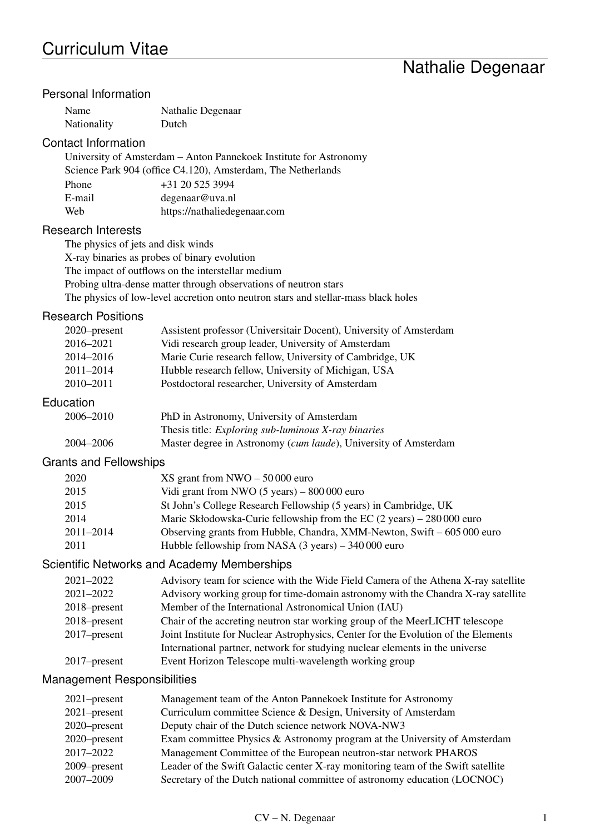# Nathalie Degenaar

### Personal Information

| Name        | Nathalie Degenaar |
|-------------|-------------------|
| Nationality | Dutch             |

#### Contact Information

University of Amsterdam – Anton Pannekoek Institute for Astronomy Science Park 904 (office C4.120), Amsterdam, The Netherlands Phone  $+31 20 525 3994$ E-mail degenaar@uva.nl Web https://nathaliedegenaar.com

#### Research Interests

The physics of jets and disk winds

X-ray binaries as probes of binary evolution

The impact of outflows on the interstellar medium

Probing ultra-dense matter through observations of neutron stars

The physics of low-level accretion onto neutron stars and stellar-mass black holes

#### Research Positions

| $2020$ -present | Assistent professor (Universitair Docent), University of Amsterdam |  |
|-----------------|--------------------------------------------------------------------|--|
| 2016-2021       | Vidi research group leader, University of Amsterdam                |  |
| 2014-2016       | Marie Curie research fellow, University of Cambridge, UK           |  |
| 2011-2014       | Hubble research fellow, University of Michigan, USA                |  |
| 2010-2011       | Postdoctoral researcher, University of Amsterdam                   |  |
| Education       |                                                                    |  |
| 2006-2010       | PhD in Astronomy, University of Amsterdam                          |  |
|                 | Thesis title: <i>Exploring sub-luminous X-ray binaries</i>         |  |

| 2004-2006 | Master degree in Astronomy (cum laude), University of Amsterdam |  |
|-----------|-----------------------------------------------------------------|--|
|           |                                                                 |  |
|           |                                                                 |  |

#### Grants and Fellowships

| 2020          | $XS$ grant from NWO $-50000$ euro                                                       |
|---------------|-----------------------------------------------------------------------------------------|
| 2015          | Vidi grant from NWO $(5 \text{ years}) - 800\,000$ euro                                 |
| 2015          | St John's College Research Fellowship (5 years) in Cambridge, UK                        |
| 2014          | Marie Skłodowska-Curie fellowship from the EC $(2 \text{ years}) - 280000 \text{ euro}$ |
| $2011 - 2014$ | Observing grants from Hubble, Chandra, XMM-Newton, Swift $-605000$ euro                 |
| 2011          | Hubble fellowship from NASA $(3 \text{ years}) - 340\,000$ euro                         |

#### Scientific Networks and Academy Memberships

| 2021-2022    | Advisory team for science with the Wide Field Camera of the Athena X-ray satellite |
|--------------|------------------------------------------------------------------------------------|
| 2021–2022    | Advisory working group for time-domain astronomy with the Chandra X-ray satellite  |
| 2018–present | Member of the International Astronomical Union (IAU)                               |
| 2018–present | Chair of the accreting neutron star working group of the MeerLICHT telescope       |
| 2017–present | Joint Institute for Nuclear Astrophysics, Center for the Evolution of the Elements |
|              | International partner, network for studying nuclear elements in the universe       |
| 2017–present | Event Horizon Telescope multi-wavelength working group                             |
|              |                                                                                    |

#### Management Responsibilities

| Exam committee Physics & Astronomy program at the University of Amsterdam        |
|----------------------------------------------------------------------------------|
|                                                                                  |
| Leader of the Swift Galactic center X-ray monitoring team of the Swift satellite |
| Secretary of the Dutch national committee of astronomy education (LOCNOC)        |
|                                                                                  |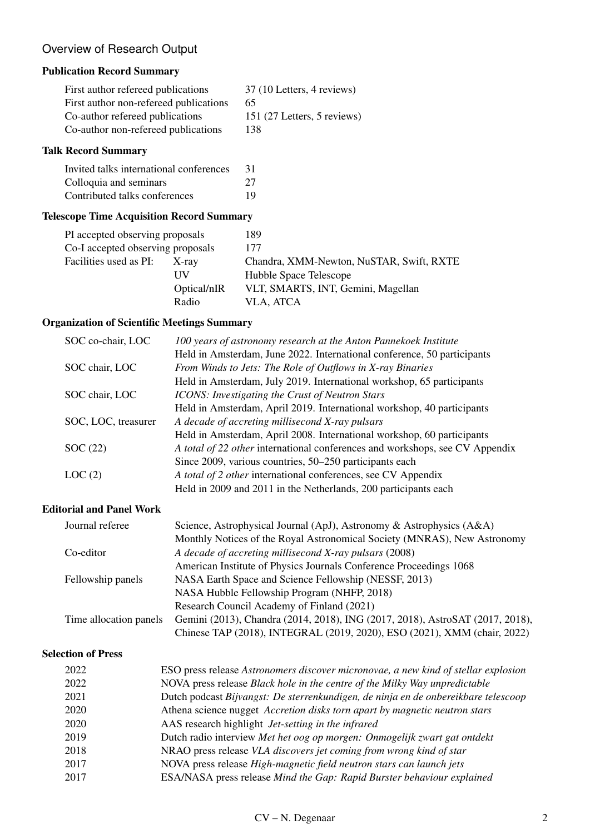### Overview of Research Output

### Publication Record Summary

| First author refereed publications     | 37 (10 Letters, 4 reviews)  |
|----------------------------------------|-----------------------------|
| First author non-refereed publications | 65                          |
| Co-author refereed publications        | 151 (27 Letters, 5 reviews) |
| Co-author non-refereed publications    | 138                         |

#### Talk Record Summary

| Invited talks international conferences | 31 |
|-----------------------------------------|----|
| Colloquia and seminars                  | 27 |
| Contributed talks conferences           | 19 |

### Telescope Time Acquisition Record Summary

|             | 189                                                                  |
|-------------|----------------------------------------------------------------------|
|             | 177                                                                  |
| X-ray       | Chandra, XMM-Newton, NuSTAR, Swift, RXTE                             |
| НV          | Hubble Space Telescope                                               |
| Optical/nIR | VLT, SMARTS, INT, Gemini, Magellan                                   |
| Radio       | VLA, ATCA                                                            |
|             | PI accepted observing proposals<br>Co-I accepted observing proposals |

### Organization of Scientific Meetings Summary

| SOC co-chair, LOC   | 100 years of astronomy research at the Anton Pannekoek Institute             |
|---------------------|------------------------------------------------------------------------------|
|                     | Held in Amsterdam, June 2022. International conference, 50 participants      |
| SOC chair, LOC      | From Winds to Jets: The Role of Outflows in X-ray Binaries                   |
|                     | Held in Amsterdam, July 2019. International workshop, 65 participants        |
| SOC chair, LOC      | <b>ICONS:</b> Investigating the Crust of Neutron Stars                       |
|                     | Held in Amsterdam, April 2019. International workshop, 40 participants       |
| SOC, LOC, treasurer | A decade of accreting millisecond X-ray pulsars                              |
|                     | Held in Amsterdam, April 2008. International workshop, 60 participants       |
| SOC(22)             | A total of 22 other international conferences and workshops, see CV Appendix |
|                     | Since 2009, various countries, 50–250 participants each                      |
| LOC(2)              | A total of 2 other international conferences, see CV Appendix                |
|                     | Held in 2009 and 2011 in the Netherlands, 200 participants each              |

### Editorial and Panel Work

| Journal referee        | Science, Astrophysical Journal (ApJ), Astronomy & Astrophysics (A&A)          |
|------------------------|-------------------------------------------------------------------------------|
|                        | Monthly Notices of the Royal Astronomical Society (MNRAS), New Astronomy      |
| Co-editor              | A decade of accreting millisecond X-ray pulsars (2008)                        |
|                        | American Institute of Physics Journals Conference Proceedings 1068            |
| Fellowship panels      | NASA Earth Space and Science Fellowship (NESSF, 2013)                         |
|                        | NASA Hubble Fellowship Program (NHFP, 2018)                                   |
|                        | Research Council Academy of Finland (2021)                                    |
| Time allocation panels | Gemini (2013), Chandra (2014, 2018), ING (2017, 2018), AstroSAT (2017, 2018), |
|                        | Chinese TAP (2018), INTEGRAL (2019, 2020), ESO (2021), XMM (chair, 2022)      |

#### Selection of Press

| 2022 | ESO press release Astronomers discover micronovae, a new kind of stellar explosion |
|------|------------------------------------------------------------------------------------|
| 2022 | NOVA press release Black hole in the centre of the Milky Way unpredictable         |
| 2021 | Dutch podcast Bijvangst: De sterrenkundigen, de ninja en de onbereikbare telescoop |
| 2020 | Athena science nugget Accretion disks torn apart by magnetic neutron stars         |
| 2020 | AAS research highlight <i>Jet-setting</i> in the infrared                          |
| 2019 | Dutch radio interview Met het oog op morgen: Onmogelijk zwart gat ontdekt          |
| 2018 | NRAO press release VLA discovers jet coming from wrong kind of star                |
| 2017 | NOVA press release High-magnetic field neutron stars can launch jets               |
| 2017 | ESA/NASA press release Mind the Gap: Rapid Burster behaviour explained             |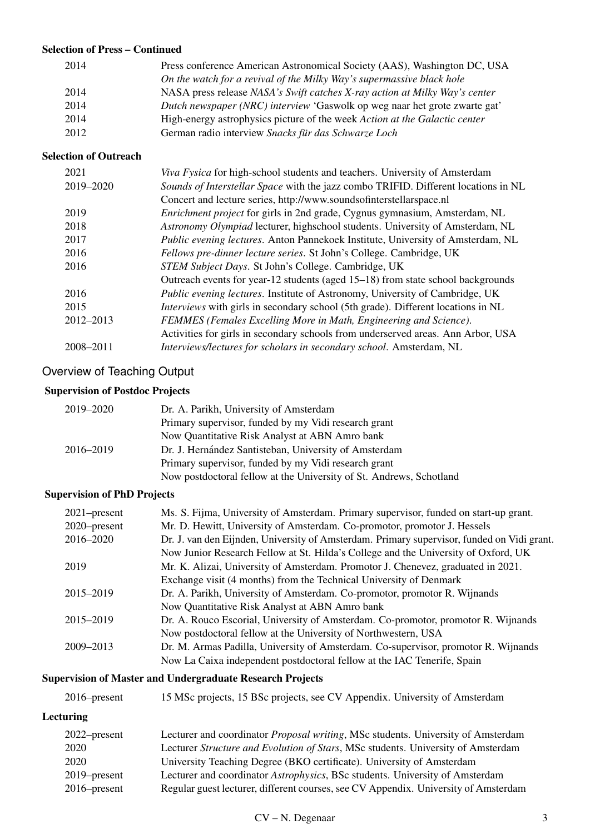#### Selection of Press – Continued

| 2014 | Press conference American Astronomical Society (AAS), Washington DC, USA   |
|------|----------------------------------------------------------------------------|
|      | On the watch for a revival of the Milky Way's supermassive black hole      |
| 2014 | NASA press release NASA's Swift catches X-ray action at Milky Way's center |
| 2014 | Dutch newspaper (NRC) interview 'Gaswolk op weg naar het grote zwarte gat' |
| 2014 | High-energy astrophysics picture of the week Action at the Galactic center |
| 2012 | German radio interview Snacks für das Schwarze Loch                        |

#### Selection of Outreach

| 2021      | Viva Fysica for high-school students and teachers. University of Amsterdam              |
|-----------|-----------------------------------------------------------------------------------------|
| 2019-2020 | Sounds of Interstellar Space with the jazz combo TRIFID. Different locations in NL      |
|           | Concert and lecture series, http://www.soundsofinterstellarspace.nl                     |
| 2019      | <i>Enrichment project</i> for girls in 2nd grade, Cygnus gymnasium, Amsterdam, NL       |
| 2018      | Astronomy Olympiad lecturer, highschool students. University of Amsterdam, NL           |
| 2017      | Public evening lectures. Anton Pannekoek Institute, University of Amsterdam, NL         |
| 2016      | Fellows pre-dinner lecture series. St John's College. Cambridge, UK                     |
| 2016      | STEM Subject Days. St John's College. Cambridge, UK                                     |
|           | Outreach events for year-12 students (aged 15–18) from state school backgrounds         |
| 2016      | <i>Public evening lectures.</i> Institute of Astronomy, University of Cambridge, UK     |
| 2015      | <i>Interviews</i> with girls in secondary school (5th grade). Different locations in NL |
| 2012-2013 | FEMMES (Females Excelling More in Math, Engineering and Science).                       |
|           | Activities for girls in secondary schools from underserved areas. Ann Arbor, USA        |
| 2008-2011 | Interviews/lectures for scholars in secondary school. Amsterdam, NL                     |

### Overview of Teaching Output

### Supervision of Postdoc Projects

| 2019-2020 | Dr. A. Parikh, University of Amsterdam                              |
|-----------|---------------------------------------------------------------------|
|           | Primary supervisor, funded by my Vidi research grant                |
|           | Now Quantitative Risk Analyst at ABN Amro bank                      |
| 2016-2019 | Dr. J. Hernández Santisteban, University of Amsterdam               |
|           | Primary supervisor, funded by my Vidi research grant                |
|           | Now postdoctoral fellow at the University of St. Andrews, Schotland |

### Supervision of PhD Projects

| $2021$ -present | Ms. S. Fijma, University of Amsterdam. Primary supervisor, funded on start-up grant.       |
|-----------------|--------------------------------------------------------------------------------------------|
| 2020–present    | Mr. D. Hewitt, University of Amsterdam. Co-promotor, promotor J. Hessels                   |
| 2016-2020       | Dr. J. van den Eijnden, University of Amsterdam. Primary supervisor, funded on Vidi grant. |
|                 | Now Junior Research Fellow at St. Hilda's College and the University of Oxford, UK         |
| 2019            | Mr. K. Alizai, University of Amsterdam. Promotor J. Chenevez, graduated in 2021.           |
|                 | Exchange visit (4 months) from the Technical University of Denmark                         |
| 2015–2019       | Dr. A. Parikh, University of Amsterdam. Co-promotor, promotor R. Wijnands                  |
|                 | Now Quantitative Risk Analyst at ABN Amro bank                                             |
| 2015–2019       | Dr. A. Rouco Escorial, University of Amsterdam. Co-promotor, promotor R. Wijnands          |
|                 | Now postdoctoral fellow at the University of Northwestern, USA                             |
| 2009-2013       | Dr. M. Armas Padilla, University of Amsterdam. Co-supervisor, promotor R. Wijnands         |
|                 | Now La Caixa independent postdoctoral fellow at the IAC Tenerife, Spain                    |

## Supervision of Master and Undergraduate Research Projects

| $2016$ -present | 15 MSc projects, 15 BSc projects, see CV Appendix. University of Amsterdam |
|-----------------|----------------------------------------------------------------------------|
|                 |                                                                            |

### Lecturing

| $2022$ -present | Lecturer and coordinator <i>Proposal writing</i> , MSc students. University of Amsterdam |
|-----------------|------------------------------------------------------------------------------------------|
| 2020            | Lecturer Structure and Evolution of Stars, MSc students. University of Amsterdam         |
| 2020            | University Teaching Degree (BKO certificate). University of Amsterdam                    |
| $2019$ -present | Lecturer and coordinator <i>Astrophysics</i> , BSc students. University of Amsterdam     |
| $2016$ -present | Regular guest lecturer, different courses, see CV Appendix. University of Amsterdam      |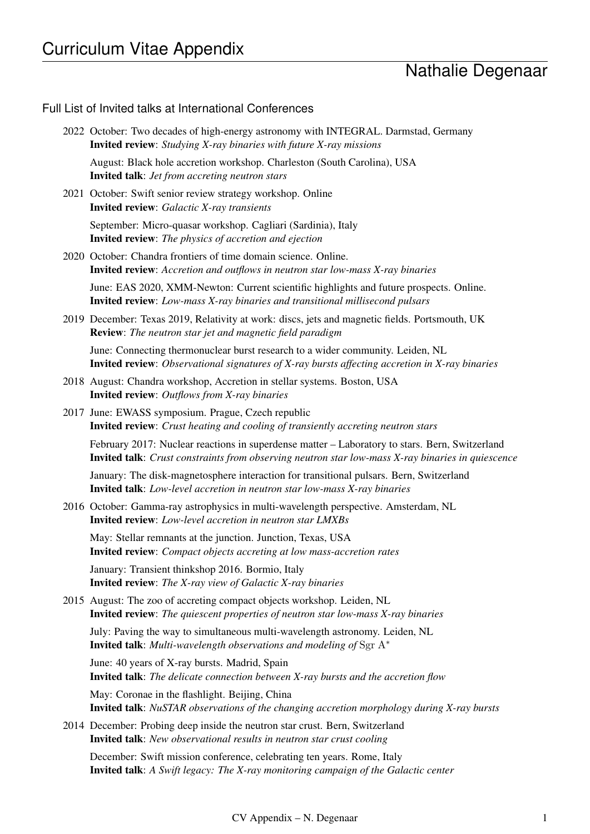# Nathalie Degenaar

### Full List of Invited talks at International Conferences

| 2022 October: Two decades of high-energy astronomy with INTEGRAL. Darmstad, Germany<br><b>Invited review</b> : Studying X-ray binaries with future X-ray missions                                           |
|-------------------------------------------------------------------------------------------------------------------------------------------------------------------------------------------------------------|
| August: Black hole accretion workshop. Charleston (South Carolina), USA<br><b>Invited talk:</b> Jet from accreting neutron stars                                                                            |
| 2021 October: Swift senior review strategy workshop. Online<br><b>Invited review:</b> Galactic X-ray transients                                                                                             |
| September: Micro-quasar workshop. Cagliari (Sardinia), Italy<br><b>Invited review:</b> The physics of accretion and ejection                                                                                |
| 2020 October: Chandra frontiers of time domain science. Online.<br><b>Invited review</b> : Accretion and outflows in neutron star low-mass X-ray binaries                                                   |
| June: EAS 2020, XMM-Newton: Current scientific highlights and future prospects. Online.<br><b>Invited review</b> : Low-mass X-ray binaries and transitional millisecond pulsars                             |
| 2019 December: Texas 2019, Relativity at work: discs, jets and magnetic fields. Portsmouth, UK<br><b>Review</b> : The neutron star jet and magnetic field paradigm                                          |
| June: Connecting thermonuclear burst research to a wider community. Leiden, NL<br><b>Invited review</b> : Observational signatures of X-ray bursts affecting accretion in X-ray binaries                    |
| 2018 August: Chandra workshop, Accretion in stellar systems. Boston, USA<br><b>Invited review:</b> Outflows from X-ray binaries                                                                             |
| 2017 June: EWASS symposium. Prague, Czech republic<br><b>Invited review</b> : Crust heating and cooling of transiently accreting neutron stars                                                              |
| February 2017: Nuclear reactions in superdense matter – Laboratory to stars. Bern, Switzerland<br><b>Invited talk</b> : Crust constraints from observing neutron star low-mass X-ray binaries in quiescence |
| January: The disk-magnetosphere interaction for transitional pulsars. Bern, Switzerland<br><b>Invited talk:</b> Low-level accretion in neutron star low-mass X-ray binaries                                 |
| 2016 October: Gamma-ray astrophysics in multi-wavelength perspective. Amsterdam, NL<br><b>Invited review:</b> Low-level accretion in neutron star LMXBs                                                     |
| May: Stellar remnants at the junction. Junction, Texas, USA<br><b>Invited review:</b> Compact objects accreting at low mass-accretion rates                                                                 |
| January: Transient thinkshop 2016. Bormio, Italy<br><b>Invited review:</b> The X-ray view of Galactic X-ray binaries                                                                                        |
| 2015 August: The zoo of accreting compact objects workshop. Leiden, NL<br><b>Invited review:</b> The quiescent properties of neutron star low-mass X-ray binaries                                           |
| July: Paving the way to simultaneous multi-wavelength astronomy. Leiden, NL<br><b>Invited talk:</b> Multi-wavelength observations and modeling of Sgr $A^*$                                                 |
| June: 40 years of X-ray bursts. Madrid, Spain<br><b>Invited talk:</b> The delicate connection between X-ray bursts and the accretion flow                                                                   |
| May: Coronae in the flashlight. Beijing, China<br><b>Invited talk:</b> NuSTAR observations of the changing accretion morphology during X-ray bursts                                                         |
| 2014 December: Probing deep inside the neutron star crust. Bern, Switzerland<br><b>Invited talk:</b> New observational results in neutron star crust cooling                                                |
| December: Swift mission conference, celebrating ten years. Rome, Italy<br><b>Invited talk</b> : A Swift legacy: The X-ray monitoring campaign of the Galactic center                                        |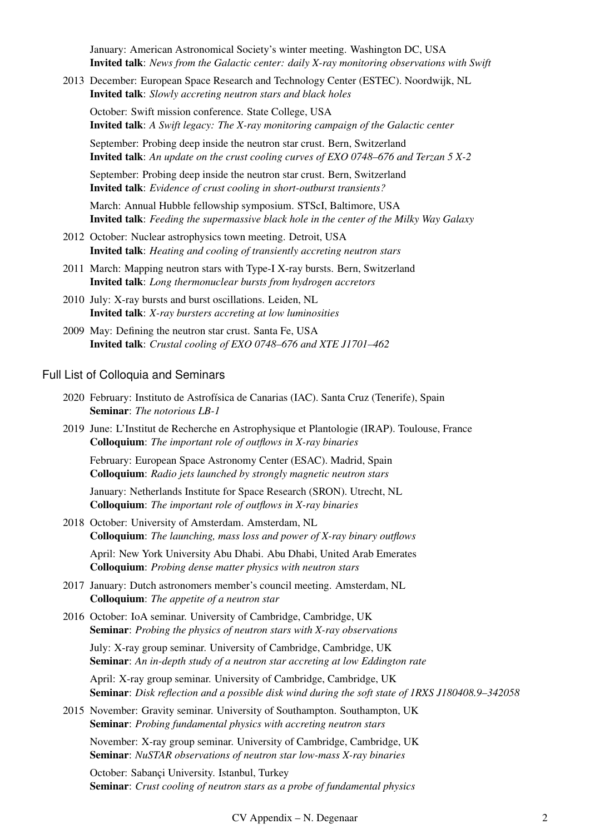January: American Astronomical Society's winter meeting. Washington DC, USA Invited talk: *News from the Galactic center: daily X-ray monitoring observations with Swift*

2013 December: European Space Research and Technology Center (ESTEC). Noordwijk, NL Invited talk: *Slowly accreting neutron stars and black holes*

October: Swift mission conference. State College, USA Invited talk: *A Swift legacy: The X-ray monitoring campaign of the Galactic center*

September: Probing deep inside the neutron star crust. Bern, Switzerland Invited talk: *An update on the crust cooling curves of EXO 0748–676 and Terzan 5 X-2*

September: Probing deep inside the neutron star crust. Bern, Switzerland Invited talk: *Evidence of crust cooling in short-outburst transients?*

March: Annual Hubble fellowship symposium. STScI, Baltimore, USA Invited talk: *Feeding the supermassive black hole in the center of the Milky Way Galaxy*

- 2012 October: Nuclear astrophysics town meeting. Detroit, USA Invited talk: *Heating and cooling of transiently accreting neutron stars*
- 2011 March: Mapping neutron stars with Type-I X-ray bursts. Bern, Switzerland Invited talk: *Long thermonuclear bursts from hydrogen accretors*
- 2010 July: X-ray bursts and burst oscillations. Leiden, NL Invited talk: *X-ray bursters accreting at low luminosities*
- 2009 May: Defining the neutron star crust. Santa Fe, USA Invited talk: *Crustal cooling of EXO 0748–676 and XTE J1701–462*

#### Full List of Colloquia and Seminars

- 2020 February: Instituto de Astrofísica de Canarias (IAC). Santa Cruz (Tenerife), Spain Seminar: *The notorious LB-1*
- 2019 June: L'Institut de Recherche en Astrophysique et Plantologie (IRAP). Toulouse, France Colloquium: *The important role of outflows in X-ray binaries*

February: European Space Astronomy Center (ESAC). Madrid, Spain Colloquium: *Radio jets launched by strongly magnetic neutron stars*

January: Netherlands Institute for Space Research (SRON). Utrecht, NL Colloquium: *The important role of outflows in X-ray binaries*

- 2018 October: University of Amsterdam. Amsterdam, NL Colloquium: *The launching, mass loss and power of X-ray binary outflows* April: New York University Abu Dhabi. Abu Dhabi, United Arab Emerates Colloquium: *Probing dense matter physics with neutron stars*
- 2017 January: Dutch astronomers member's council meeting. Amsterdam, NL Colloquium: *The appetite of a neutron star*
- 2016 October: IoA seminar. University of Cambridge, Cambridge, UK Seminar: *Probing the physics of neutron stars with X-ray observations*

July: X-ray group seminar. University of Cambridge, Cambridge, UK Seminar: *An in-depth study of a neutron star accreting at low Eddington rate*

April: X-ray group seminar. University of Cambridge, Cambridge, UK Seminar: *Disk reflection and a possible disk wind during the soft state of 1RXS J180408.9–342058*

2015 November: Gravity seminar. University of Southampton. Southampton, UK Seminar: *Probing fundamental physics with accreting neutron stars*

November: X-ray group seminar. University of Cambridge, Cambridge, UK Seminar: *NuSTAR observations of neutron star low-mass X-ray binaries*

October: Sabançi University. Istanbul, Turkey Seminar: *Crust cooling of neutron stars as a probe of fundamental physics*

CV Appendix – N. Degenaar 2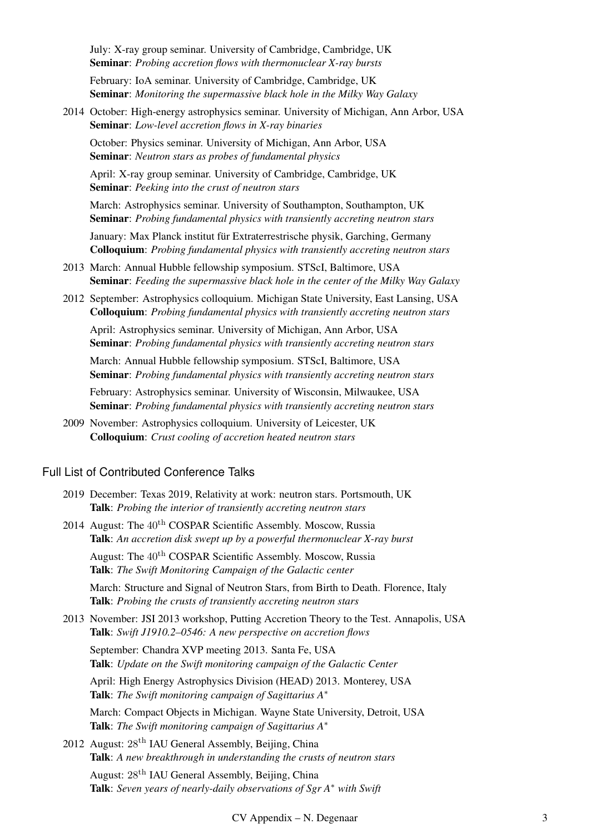July: X-ray group seminar. University of Cambridge, Cambridge, UK Seminar: *Probing accretion flows with thermonuclear X-ray bursts*

February: IoA seminar. University of Cambridge, Cambridge, UK Seminar: *Monitoring the supermassive black hole in the Milky Way Galaxy*

2014 October: High-energy astrophysics seminar. University of Michigan, Ann Arbor, USA Seminar: *Low-level accretion flows in X-ray binaries*

October: Physics seminar. University of Michigan, Ann Arbor, USA Seminar: *Neutron stars as probes of fundamental physics*

April: X-ray group seminar. University of Cambridge, Cambridge, UK Seminar: *Peeking into the crust of neutron stars*

March: Astrophysics seminar. University of Southampton, Southampton, UK Seminar: *Probing fundamental physics with transiently accreting neutron stars*

January: Max Planck institut für Extraterrestrische physik, Garching, Germany Colloquium: *Probing fundamental physics with transiently accreting neutron stars*

- 2013 March: Annual Hubble fellowship symposium. STScI, Baltimore, USA Seminar: *Feeding the supermassive black hole in the center of the Milky Way Galaxy*
- 2012 September: Astrophysics colloquium. Michigan State University, East Lansing, USA Colloquium: *Probing fundamental physics with transiently accreting neutron stars*

April: Astrophysics seminar. University of Michigan, Ann Arbor, USA Seminar: *Probing fundamental physics with transiently accreting neutron stars*

March: Annual Hubble fellowship symposium. STScI, Baltimore, USA Seminar: *Probing fundamental physics with transiently accreting neutron stars*

February: Astrophysics seminar. University of Wisconsin, Milwaukee, USA Seminar: *Probing fundamental physics with transiently accreting neutron stars*

2009 November: Astrophysics colloquium. University of Leicester, UK Colloquium: *Crust cooling of accretion heated neutron stars*

#### Full List of Contributed Conference Talks

- 2019 December: Texas 2019, Relativity at work: neutron stars. Portsmouth, UK Talk: *Probing the interior of transiently accreting neutron stars*
- 2014 August: The  $40^{th}$  COSPAR Scientific Assembly. Moscow, Russia Talk: *An accretion disk swept up by a powerful thermonuclear X-ray burst* August: The  $40^{th}$  COSPAR Scientific Assembly. Moscow, Russia Talk: *The Swift Monitoring Campaign of the Galactic center*

March: Structure and Signal of Neutron Stars, from Birth to Death. Florence, Italy Talk: *Probing the crusts of transiently accreting neutron stars*

2013 November: JSI 2013 workshop, Putting Accretion Theory to the Test. Annapolis, USA Talk: *Swift J1910.2–0546: A new perspective on accretion flows*

September: Chandra XVP meeting 2013. Santa Fe, USA Talk: *Update on the Swift monitoring campaign of the Galactic Center*

April: High Energy Astrophysics Division (HEAD) 2013. Monterey, USA Talk: *The Swift monitoring campaign of Sagittarius A*<sup>∗</sup>

March: Compact Objects in Michigan. Wayne State University, Detroit, USA Talk: *The Swift monitoring campaign of Sagittarius A*<sup>∗</sup>

2012 August: 28th IAU General Assembly, Beijing, China Talk: *A new breakthrough in understanding the crusts of neutron stars*

August: 28th IAU General Assembly, Beijing, China Talk: *Seven years of nearly-daily observations of Sgr A*<sup>∗</sup> *with Swift*

CV Appendix – N. Degenaar 3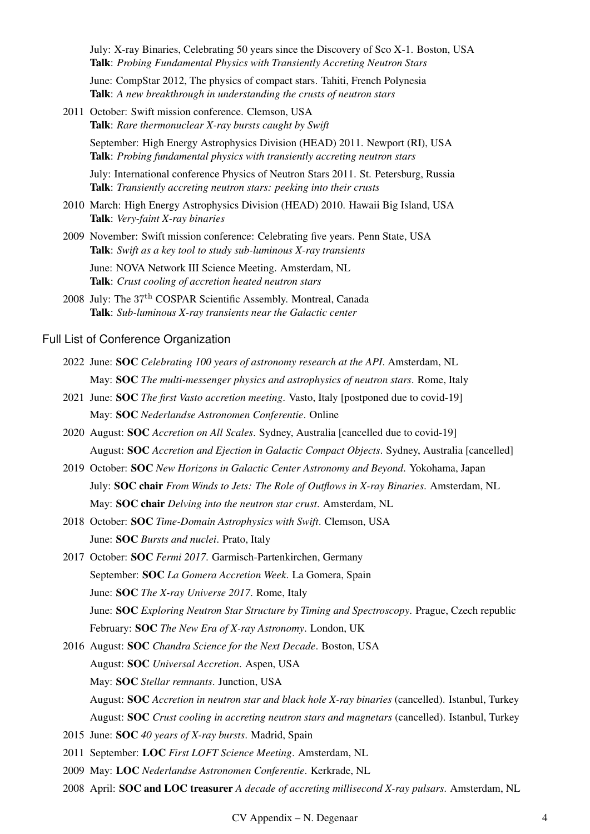July: X-ray Binaries, Celebrating 50 years since the Discovery of Sco X-1. Boston, USA Talk: *Probing Fundamental Physics with Transiently Accreting Neutron Stars*

June: CompStar 2012, The physics of compact stars. Tahiti, French Polynesia Talk: *A new breakthrough in understanding the crusts of neutron stars*

2011 October: Swift mission conference. Clemson, USA Talk: *Rare thermonuclear X-ray bursts caught by Swift*

> September: High Energy Astrophysics Division (HEAD) 2011. Newport (RI), USA Talk: *Probing fundamental physics with transiently accreting neutron stars*

> July: International conference Physics of Neutron Stars 2011. St. Petersburg, Russia Talk: *Transiently accreting neutron stars: peeking into their crusts*

- 2010 March: High Energy Astrophysics Division (HEAD) 2010. Hawaii Big Island, USA Talk: *Very-faint X-ray binaries*
- 2009 November: Swift mission conference: Celebrating five years. Penn State, USA Talk: *Swift as a key tool to study sub-luminous X-ray transients*

June: NOVA Network III Science Meeting. Amsterdam, NL Talk: *Crust cooling of accretion heated neutron stars*

2008 July: The 37<sup>th</sup> COSPAR Scientific Assembly. Montreal, Canada Talk: *Sub-luminous X-ray transients near the Galactic center*

#### Full List of Conference Organization

- 2022 June: SOC *Celebrating 100 years of astronomy research at the API*. Amsterdam, NL May: SOC *The multi-messenger physics and astrophysics of neutron stars*. Rome, Italy
- 2021 June: SOC *The first Vasto accretion meeting*. Vasto, Italy [postponed due to covid-19] May: SOC *Nederlandse Astronomen Conferentie*. Online
- 2020 August: SOC *Accretion on All Scales*. Sydney, Australia [cancelled due to covid-19] August: SOC *Accretion and Ejection in Galactic Compact Objects*. Sydney, Australia [cancelled]
- 2019 October: SOC *New Horizons in Galactic Center Astronomy and Beyond*. Yokohama, Japan July: SOC chair *From Winds to Jets: The Role of Outflows in X-ray Binaries*. Amsterdam, NL May: SOC chair *Delving into the neutron star crust*. Amsterdam, NL
- 2018 October: SOC *Time-Domain Astrophysics with Swift*. Clemson, USA June: SOC *Bursts and nuclei*. Prato, Italy
- 2017 October: SOC *Fermi 2017*. Garmisch-Partenkirchen, Germany September: SOC *La Gomera Accretion Week*. La Gomera, Spain June: SOC *The X-ray Universe 2017*. Rome, Italy June: SOC *Exploring Neutron Star Structure by Timing and Spectroscopy*. Prague, Czech republic February: SOC *The New Era of X-ray Astronomy*. London, UK
- 2016 August: SOC *Chandra Science for the Next Decade*. Boston, USA August: SOC *Universal Accretion*. Aspen, USA May: SOC *Stellar remnants*. Junction, USA August: SOC *Accretion in neutron star and black hole X-ray binaries* (cancelled). Istanbul, Turkey August: SOC *Crust cooling in accreting neutron stars and magnetars* (cancelled). Istanbul, Turkey
- 2015 June: SOC *40 years of X-ray bursts*. Madrid, Spain
- 2011 September: LOC *First LOFT Science Meeting*. Amsterdam, NL
- 2009 May: LOC *Nederlandse Astronomen Conferentie*. Kerkrade, NL
- 2008 April: SOC and LOC treasurer *A decade of accreting millisecond X-ray pulsars*. Amsterdam, NL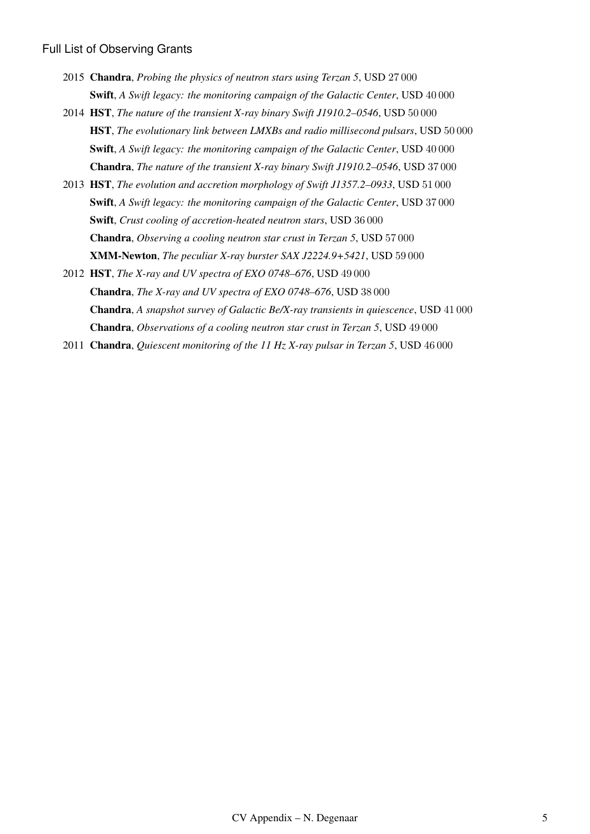#### Full List of Observing Grants

- 2015 Chandra, *Probing the physics of neutron stars using Terzan 5*, USD 27 000 Swift, *A Swift legacy: the monitoring campaign of the Galactic Center*, USD 40 000
- 2014 HST, *The nature of the transient X-ray binary Swift J1910.2–0546*, USD 50 000 HST, *The evolutionary link between LMXBs and radio millisecond pulsars*, USD 50 000 Swift, *A Swift legacy: the monitoring campaign of the Galactic Center*, USD 40 000 Chandra, *The nature of the transient X-ray binary Swift J1910.2–0546*, USD 37 000
- 2013 HST, *The evolution and accretion morphology of Swift J1357.2–0933*, USD 51 000 Swift, *A Swift legacy: the monitoring campaign of the Galactic Center*, USD 37 000 Swift, *Crust cooling of accretion-heated neutron stars*, USD 36 000 Chandra, *Observing a cooling neutron star crust in Terzan 5*, USD 57 000 XMM-Newton, *The peculiar X-ray burster SAX J2224.9+5421*, USD 59 000
- 2012 HST, *The X-ray and UV spectra of EXO 0748–676*, USD 49 000 Chandra, *The X-ray and UV spectra of EXO 0748–676*, USD 38 000 Chandra, *A snapshot survey of Galactic Be/X-ray transients in quiescence*, USD 41 000 Chandra, *Observations of a cooling neutron star crust in Terzan 5*, USD 49 000
- 2011 Chandra, *Quiescent monitoring of the 11 Hz X-ray pulsar in Terzan 5*, USD 46 000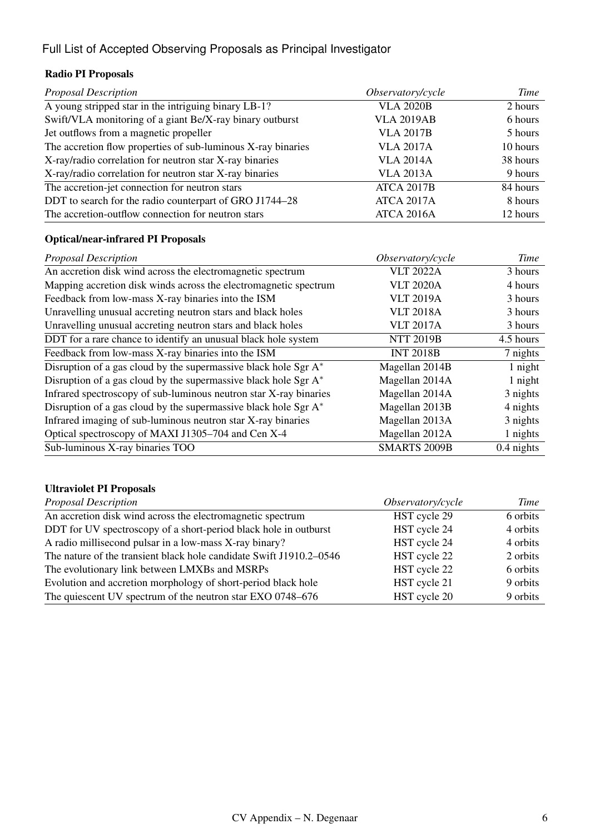## Full List of Accepted Observing Proposals as Principal Investigator

### Radio PI Proposals

| <b>Proposal Description</b>                                  | Observatory/cycle | Time     |
|--------------------------------------------------------------|-------------------|----------|
| A young stripped star in the intriguing binary LB-1?         | <b>VLA 2020B</b>  | 2 hours  |
| Swift/VLA monitoring of a giant Be/X-ray binary outburst     | <b>VLA 2019AB</b> | 6 hours  |
| Jet outflows from a magnetic propeller                       | <b>VLA 2017B</b>  | 5 hours  |
| The accretion flow properties of sub-luminous X-ray binaries | <b>VLA 2017A</b>  | 10 hours |
| X-ray/radio correlation for neutron star X-ray binaries      | <b>VLA 2014A</b>  | 38 hours |
| X-ray/radio correlation for neutron star X-ray binaries      | <b>VLA 2013A</b>  | 9 hours  |
| The accretion-jet connection for neutron stars               | <b>ATCA 2017B</b> | 84 hours |
| DDT to search for the radio counterpart of GRO J1744-28      | <b>ATCA 2017A</b> | 8 hours  |
| The accretion-outflow connection for neutron stars           | ATCA 2016A        | 12 hours |

### Optical/near-infrared PI Proposals

| <b>Proposal Description</b>                                        | Observatory/cycle   | Time         |
|--------------------------------------------------------------------|---------------------|--------------|
| An accretion disk wind across the electromagnetic spectrum         | <b>VLT 2022A</b>    | 3 hours      |
| Mapping accretion disk winds across the electromagnetic spectrum   | <b>VLT 2020A</b>    | 4 hours      |
| Feedback from low-mass X-ray binaries into the ISM                 | <b>VLT 2019A</b>    | 3 hours      |
| Unravelling unusual accreting neutron stars and black holes        | <b>VLT 2018A</b>    | 3 hours      |
| Unravelling unusual accreting neutron stars and black holes        | <b>VLT 2017A</b>    | 3 hours      |
| DDT for a rare chance to identify an unusual black hole system     | <b>NTT 2019B</b>    | 4.5 hours    |
| Feedback from low-mass X-ray binaries into the ISM                 | <b>INT 2018B</b>    | 7 nights     |
| Disruption of a gas cloud by the supermassive black hole Sgr A*    | Magellan 2014B      | 1 night      |
| Disruption of a gas cloud by the supermassive black hole Sgr A*    | Magellan 2014A      | 1 night      |
| Infrared spectroscopy of sub-luminous neutron star X-ray binaries  | Magellan 2014A      | 3 nights     |
| Disruption of a gas cloud by the supermassive black hole Sgr $A^*$ | Magellan 2013B      | 4 nights     |
| Infrared imaging of sub-luminous neutron star X-ray binaries       | Magellan 2013A      | 3 nights     |
| Optical spectroscopy of MAXI J1305–704 and Cen X-4                 | Magellan 2012A      | 1 nights     |
| Sub-luminous X-ray binaries TOO                                    | <b>SMARTS 2009B</b> | $0.4$ nights |

### Ultraviolet PI Proposals

| <b>Proposal Description</b>                                         | Observatory/cycle | Time     |
|---------------------------------------------------------------------|-------------------|----------|
| An accretion disk wind across the electromagnetic spectrum          | HST cycle 29      | 6 orbits |
| DDT for UV spectroscopy of a short-period black hole in outburst    | HST cycle 24      | 4 orbits |
| A radio millisecond pulsar in a low-mass X-ray binary?              | HST cycle 24      | 4 orbits |
| The nature of the transient black hole candidate Swift J1910.2-0546 | HST cycle 22      | 2 orbits |
| The evolutionary link between LMXBs and MSRPs                       | HST cycle 22      | 6 orbits |
| Evolution and accretion morphology of short-period black hole       | HST cycle 21      | 9 orbits |
| The quiescent UV spectrum of the neutron star EXO 0748-676          | HST cycle 20      | 9 orbits |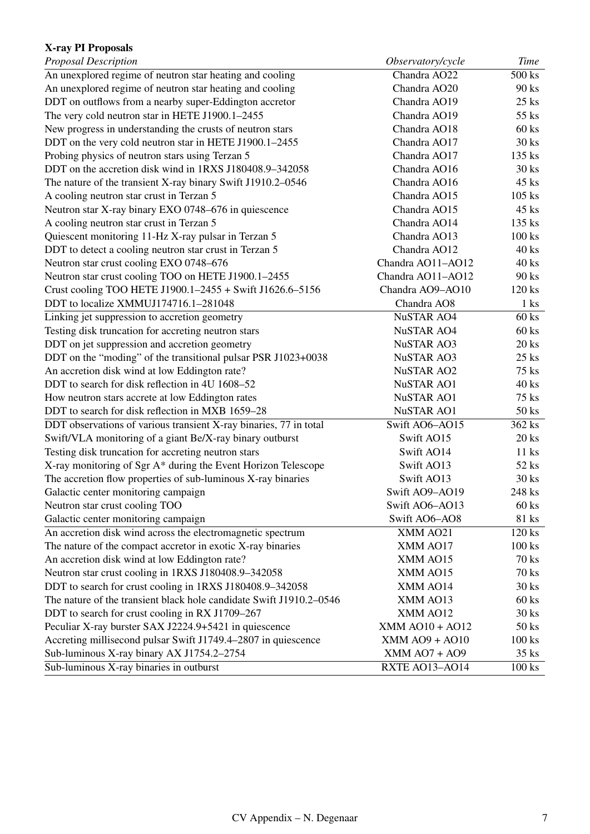### X-ray PI Proposals

| Proposal Description                                                | Observatory/cycle      | Time            |
|---------------------------------------------------------------------|------------------------|-----------------|
| An unexplored regime of neutron star heating and cooling            | Chandra AO22           | 500 ks          |
| An unexplored regime of neutron star heating and cooling            | Chandra AO20           | 90 ks           |
| DDT on outflows from a nearby super-Eddington accretor              | Chandra AO19           | $25$ ks         |
| The very cold neutron star in HETE J1900.1-2455                     | Chandra AO19           | 55 ks           |
| New progress in understanding the crusts of neutron stars           | Chandra AO18           | 60 ks           |
| DDT on the very cold neutron star in HETE J1900.1-2455              | Chandra AO17           | 30 ks           |
| Probing physics of neutron stars using Terzan 5                     | Chandra AO17           | 135 ks          |
| DDT on the accretion disk wind in 1RXS J180408.9-342058             | Chandra AO16           | 30 ks           |
| The nature of the transient X-ray binary Swift J1910.2-0546         | Chandra AO16           | 45 ks           |
| A cooling neutron star crust in Terzan 5                            | Chandra AO15           | $105$ ks        |
| Neutron star X-ray binary EXO 0748-676 in quiescence                | Chandra AO15           | 45 ks           |
| A cooling neutron star crust in Terzan 5                            | Chandra AO14           | 135 ks          |
| Quiescent monitoring 11-Hz X-ray pulsar in Terzan 5                 | Chandra AO13           | $100$ ks        |
| DDT to detect a cooling neutron star crust in Terzan 5              | Chandra AO12           | $40$ ks         |
| Neutron star crust cooling EXO 0748-676                             | Chandra AO11-AO12      | 40 ks           |
| Neutron star crust cooling TOO on HETE J1900.1-2455                 | Chandra AO11-AO12      | 90 ks           |
| Crust cooling TOO HETE J1900.1-2455 + Swift J1626.6-5156            | Chandra AO9-AO10       | 120 ks          |
| DDT to localize XMMUJ174716.1-281048                                | Chandra AO8            | 1 <sub>ks</sub> |
| Linking jet suppression to accretion geometry                       | <b>NuSTAR AO4</b>      | 60 ks           |
| Testing disk truncation for accreting neutron stars                 | <b>NuSTAR AO4</b>      | 60 ks           |
| DDT on jet suppression and accretion geometry                       | <b>NuSTAR AO3</b>      | 20 ks           |
| DDT on the "moding" of the transitional pulsar PSR J1023+0038       | <b>NuSTAR AO3</b>      | $25$ ks         |
| An accretion disk wind at low Eddington rate?                       | <b>NuSTAR AO2</b>      | 75 ks           |
| DDT to search for disk reflection in 4U 1608–52                     | <b>NuSTAR AO1</b>      | 40 ks           |
| How neutron stars accrete at low Eddington rates                    | <b>NuSTAR AO1</b>      | 75 ks           |
| DDT to search for disk reflection in MXB 1659-28                    | <b>NuSTAR AO1</b>      | 50 ks           |
| DDT observations of various transient X-ray binaries, 77 in total   | Swift AO6-AO15         | 362 ks          |
| Swift/VLA monitoring of a giant Be/X-ray binary outburst            | Swift AO15             | $20$ ks         |
| Testing disk truncation for accreting neutron stars                 | Swift AO14             | $11$ ks         |
| X-ray monitoring of Sgr A* during the Event Horizon Telescope       | Swift AO13             | 52 ks           |
| The accretion flow properties of sub-luminous X-ray binaries        | Swift AO13             | 30 ks           |
| Galactic center monitoring campaign                                 | Swift AO9-AO19         | 248 ks          |
| Neutron star crust cooling TOO                                      | Swift AO6-AO13         | $60$ ks         |
| Galactic center monitoring campaign                                 | Swift AO6-AO8          | 81 ks           |
| An accretion disk wind across the electromagnetic spectrum          | XMM AO21               | $120$ ks        |
| The nature of the compact accretor in exotic X-ray binaries         | XMM AO17               | $100$ ks        |
| An accretion disk wind at low Eddington rate?                       | XMM AO15               | 70 ks           |
| Neutron star crust cooling in 1RXS J180408.9-342058                 | XMM AO15               | 70 ks           |
| DDT to search for crust cooling in 1RXS J180408.9-342058            | XMM AO14               | $30$ ks         |
| The nature of the transient black hole candidate Swift J1910.2–0546 | XMM AO13               | $60$ ks         |
| DDT to search for crust cooling in RX J1709-267                     | XMM AO12               | 30 ks           |
| Peculiar X-ray burster SAX J2224.9+5421 in quiescence               | <b>XMM AO10 + AO12</b> | 50 ks           |
| Accreting millisecond pulsar Swift J1749.4-2807 in quiescence       | XMM AO9 + AO10         | $100$ ks        |
| Sub-luminous X-ray binary AX J1754.2-2754                           | $XMM$ AO7 + AO9        | $35$ ks         |
| Sub-luminous X-ray binaries in outburst                             | RXTE AO13-AO14         | $100$ ks        |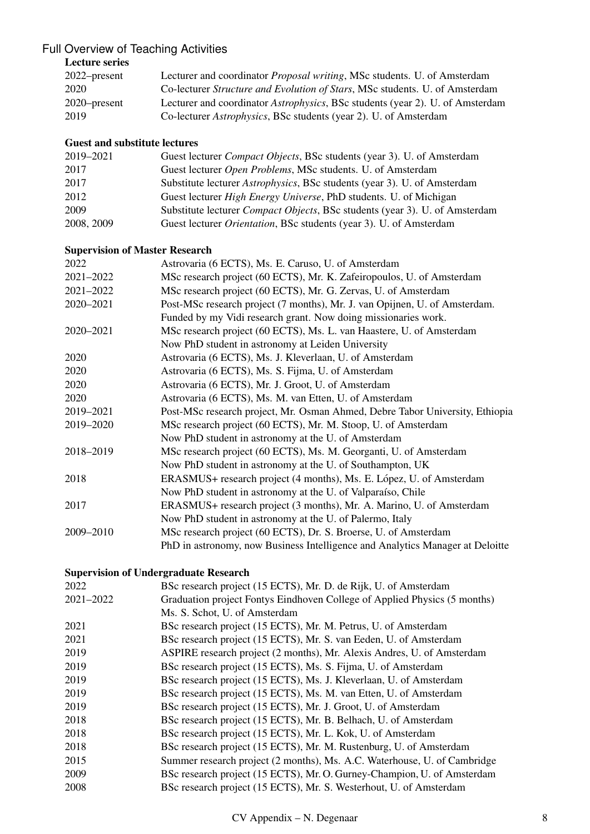### Full Overview of Teaching Activities

### Lecture series

| 2022–present | Lecturer and coordinator <i>Proposal writing</i> , MSc students. U. of Amsterdam    |
|--------------|-------------------------------------------------------------------------------------|
| 2020         | Co-lecturer <i>Structure and Evolution of Stars</i> , MSc students. U. of Amsterdam |
| 2020–present | Lecturer and coordinator Astrophysics, BSc students (year 2). U. of Amsterdam       |
| 2019         | Co-lecturer <i>Astrophysics</i> , BSc students (year 2). U. of Amsterdam            |

#### Guest and substitute lectures

| 2019-2021  | Guest lecturer <i>Compact Objects</i> , BSc students (year 3). U. of Amsterdam   |
|------------|----------------------------------------------------------------------------------|
| 2017       | Guest lecturer <i>Open Problems</i> , MSc students. U. of Amsterdam              |
| 2017       | Substitute lecturer <i>Astrophysics</i> , BSc students (year 3). U. of Amsterdam |
| 2012       | Guest lecturer <i>High Energy Universe</i> , PhD students. U. of Michigan        |
| 2009       | Substitute lecturer Compact Objects, BSc students (year 3). U. of Amsterdam      |
| 2008, 2009 | Guest lecturer <i>Orientation</i> , BSc students (year 3). U. of Amsterdam       |

#### Supervision of Master Research

| 2022      | Astrovaria (6 ECTS), Ms. E. Caruso, U. of Amsterdam                           |
|-----------|-------------------------------------------------------------------------------|
| 2021-2022 | MSc research project (60 ECTS), Mr. K. Zafeiropoulos, U. of Amsterdam         |
| 2021-2022 | MSc research project (60 ECTS), Mr. G. Zervas, U. of Amsterdam                |
| 2020-2021 | Post-MSc research project (7 months), Mr. J. van Opijnen, U. of Amsterdam.    |
|           | Funded by my Vidi research grant. Now doing missionaries work.                |
| 2020-2021 | MSc research project (60 ECTS), Ms. L. van Haastere, U. of Amsterdam          |
|           | Now PhD student in astronomy at Leiden University                             |
| 2020      | Astrovaria (6 ECTS), Ms. J. Kleverlaan, U. of Amsterdam                       |
| 2020      | Astrovaria (6 ECTS), Ms. S. Fijma, U. of Amsterdam                            |
| 2020      | Astrovaria (6 ECTS), Mr. J. Groot, U. of Amsterdam                            |
| 2020      | Astrovaria (6 ECTS), Ms. M. van Etten, U. of Amsterdam                        |
| 2019-2021 | Post-MSc research project, Mr. Osman Ahmed, Debre Tabor University, Ethiopia  |
| 2019-2020 | MSc research project (60 ECTS), Mr. M. Stoop, U. of Amsterdam                 |
|           | Now PhD student in astronomy at the U. of Amsterdam                           |
| 2018-2019 | MSc research project (60 ECTS), Ms. M. Georganti, U. of Amsterdam             |
|           | Now PhD student in astronomy at the U. of Southampton, UK                     |
| 2018      | ERASMUS+ research project (4 months), Ms. E. López, U. of Amsterdam           |
|           | Now PhD student in astronomy at the U. of Valparaíso, Chile                   |
| 2017      | ERASMUS+ research project (3 months), Mr. A. Marino, U. of Amsterdam          |
|           | Now PhD student in astronomy at the U. of Palermo, Italy                      |
| 2009-2010 | MSc research project (60 ECTS), Dr. S. Broerse, U. of Amsterdam               |
|           | PhD in astronomy, now Business Intelligence and Analytics Manager at Deloitte |

#### Supervision of Undergraduate Research

| 2022      | BSc research project (15 ECTS), Mr. D. de Rijk, U. of Amsterdam           |
|-----------|---------------------------------------------------------------------------|
| 2021-2022 | Graduation project Fontys Eindhoven College of Applied Physics (5 months) |
|           | Ms. S. Schot, U. of Amsterdam                                             |
| 2021      | BSc research project (15 ECTS), Mr. M. Petrus, U. of Amsterdam            |
| 2021      | BSc research project (15 ECTS), Mr. S. van Eeden, U. of Amsterdam         |
| 2019      | ASPIRE research project (2 months), Mr. Alexis Andres, U. of Amsterdam    |
| 2019      | BSc research project (15 ECTS), Ms. S. Fijma, U. of Amsterdam             |
| 2019      | BSc research project (15 ECTS), Ms. J. Kleverlaan, U. of Amsterdam        |
| 2019      | BSc research project (15 ECTS), Ms. M. van Etten, U. of Amsterdam         |
| 2019      | BSc research project (15 ECTS), Mr. J. Groot, U. of Amsterdam             |
| 2018      | BSc research project (15 ECTS), Mr. B. Belhach, U. of Amsterdam           |
| 2018      | BSc research project (15 ECTS), Mr. L. Kok, U. of Amsterdam               |
| 2018      | BSc research project (15 ECTS), Mr. M. Rustenburg, U. of Amsterdam        |
| 2015      | Summer research project (2 months), Ms. A.C. Waterhouse, U. of Cambridge  |
| 2009      | BSc research project (15 ECTS), Mr. O. Gurney-Champion, U. of Amsterdam   |
| 2008      | BSc research project (15 ECTS), Mr. S. Westerhout, U. of Amsterdam        |
|           |                                                                           |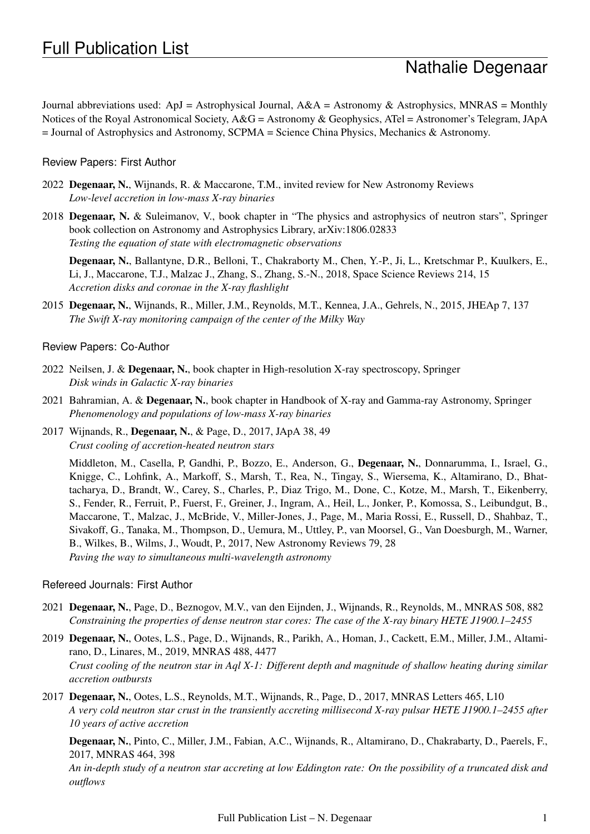# Nathalie Degenaar

Journal abbreviations used: ApJ = Astrophysical Journal, A&A = Astronomy & Astrophysics, MNRAS = Monthly Notices of the Royal Astronomical Society, A&G = Astronomy & Geophysics, ATel = Astronomer's Telegram, JApA  $=$  Journal of Astrophysics and Astronomy, SCPMA  $=$  Science China Physics, Mechanics & Astronomy.

#### Review Papers: First Author

- 2022 Degenaar, N., Wijnands, R. & Maccarone, T.M., invited review for New Astronomy Reviews *Low-level accretion in low-mass X-ray binaries*
- 2018 Degenaar, N. & Suleimanov, V., book chapter in "The physics and astrophysics of neutron stars", Springer book collection on Astronomy and Astrophysics Library, arXiv:1806.02833 *Testing the equation of state with electromagnetic observations*

Degenaar, N., Ballantyne, D.R., Belloni, T., Chakraborty M., Chen, Y.-P., Ji, L., Kretschmar P., Kuulkers, E., Li, J., Maccarone, T.J., Malzac J., Zhang, S., Zhang, S.-N., 2018, Space Science Reviews 214, 15 *Accretion disks and coronae in the X-ray flashlight*

2015 Degenaar, N., Wijnands, R., Miller, J.M., Reynolds, M.T., Kennea, J.A., Gehrels, N., 2015, JHEAp 7, 137 *The Swift X-ray monitoring campaign of the center of the Milky Way*

#### Review Papers: Co-Author

- 2022 Neilsen, J. & Degenaar, N., book chapter in High-resolution X-ray spectroscopy, Springer *Disk winds in Galactic X-ray binaries*
- 2021 Bahramian, A. & Degenaar, N., book chapter in Handbook of X-ray and Gamma-ray Astronomy, Springer *Phenomenology and populations of low-mass X-ray binaries*
- 2017 Wijnands, R., Degenaar, N., & Page, D., 2017, JApA 38, 49 *Crust cooling of accretion-heated neutron stars*

Middleton, M., Casella, P, Gandhi, P., Bozzo, E., Anderson, G., Degenaar, N., Donnarumma, I., Israel, G., Knigge, C., Lohfink, A., Markoff, S., Marsh, T., Rea, N., Tingay, S., Wiersema, K., Altamirano, D., Bhattacharya, D., Brandt, W., Carey, S., Charles, P., Diaz Trigo, M., Done, C., Kotze, M., Marsh, T., Eikenberry, S., Fender, R., Ferruit, P., Fuerst, F., Greiner, J., Ingram, A., Heil, L., Jonker, P., Komossa, S., Leibundgut, B., Maccarone, T., Malzac, J., McBride, V., Miller-Jones, J., Page, M., Maria Rossi, E., Russell, D., Shahbaz, T., Sivakoff, G., Tanaka, M., Thompson, D., Uemura, M., Uttley, P., van Moorsel, G., Van Doesburgh, M., Warner, B., Wilkes, B., Wilms, J., Woudt, P., 2017, New Astronomy Reviews 79, 28 *Paving the way to simultaneous multi-wavelength astronomy*

#### Refereed Journals: First Author

- 2021 Degenaar, N., Page, D., Beznogov, M.V., van den Eijnden, J., Wijnands, R., Reynolds, M., MNRAS 508, 882 *Constraining the properties of dense neutron star cores: The case of the X-ray binary HETE J1900.1–2455*
- 2019 Degenaar, N., Ootes, L.S., Page, D., Wijnands, R., Parikh, A., Homan, J., Cackett, E.M., Miller, J.M., Altamirano, D., Linares, M., 2019, MNRAS 488, 4477 *Crust cooling of the neutron star in Aql X-1: Different depth and magnitude of shallow heating during similar accretion outbursts*
- 2017 Degenaar, N., Ootes, L.S., Reynolds, M.T., Wijnands, R., Page, D., 2017, MNRAS Letters 465, L10 *A very cold neutron star crust in the transiently accreting millisecond X-ray pulsar HETE J1900.1–2455 after 10 years of active accretion*

Degenaar, N., Pinto, C., Miller, J.M., Fabian, A.C., Wijnands, R., Altamirano, D., Chakrabarty, D., Paerels, F., 2017, MNRAS 464, 398

*An in-depth study of a neutron star accreting at low Eddington rate: On the possibility of a truncated disk and outflows*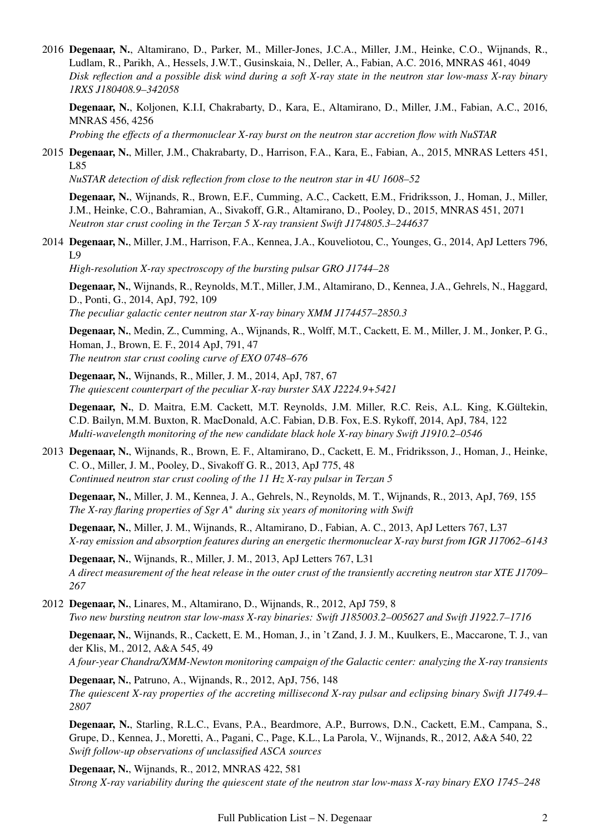2016 Degenaar, N., Altamirano, D., Parker, M., Miller-Jones, J.C.A., Miller, J.M., Heinke, C.O., Wijnands, R., Ludlam, R., Parikh, A., Hessels, J.W.T., Gusinskaia, N., Deller, A., Fabian, A.C. 2016, MNRAS 461, 4049 *Disk reflection and a possible disk wind during a soft X-ray state in the neutron star low-mass X-ray binary 1RXS J180408.9–342058*

Degenaar, N., Koljonen, K.I.I, Chakrabarty, D., Kara, E., Altamirano, D., Miller, J.M., Fabian, A.C., 2016, MNRAS 456, 4256

*Probing the effects of a thermonuclear X-ray burst on the neutron star accretion flow with NuSTAR*

2015 Degenaar, N., Miller, J.M., Chakrabarty, D., Harrison, F.A., Kara, E., Fabian, A., 2015, MNRAS Letters 451, L85

*NuSTAR detection of disk reflection from close to the neutron star in 4U 1608–52*

Degenaar, N., Wijnands, R., Brown, E.F., Cumming, A.C., Cackett, E.M., Fridriksson, J., Homan, J., Miller, J.M., Heinke, C.O., Bahramian, A., Sivakoff, G.R., Altamirano, D., Pooley, D., 2015, MNRAS 451, 2071 *Neutron star crust cooling in the Terzan 5 X-ray transient Swift J174805.3–244637*

2014 Degenaar, N., Miller, J.M., Harrison, F.A., Kennea, J.A., Kouveliotou, C., Younges, G., 2014, ApJ Letters 796, L9

*High-resolution X-ray spectroscopy of the bursting pulsar GRO J1744–28*

Degenaar, N., Wijnands, R., Reynolds, M.T., Miller, J.M., Altamirano, D., Kennea, J.A., Gehrels, N., Haggard, D., Ponti, G., 2014, ApJ, 792, 109 *The peculiar galactic center neutron star X-ray binary XMM J174457–2850.3*

Degenaar, N., Medin, Z., Cumming, A., Wijnands, R., Wolff, M.T., Cackett, E. M., Miller, J. M., Jonker, P. G., Homan, J., Brown, E. F., 2014 ApJ, 791, 47 *The neutron star crust cooling curve of EXO 0748–676*

Degenaar, N., Wijnands, R., Miller, J. M., 2014, ApJ, 787, 67 *The quiescent counterpart of the peculiar X-ray burster SAX J2224.9+5421*

Degenaar, N., D. Maitra, E.M. Cackett, M.T. Reynolds, J.M. Miller, R.C. Reis, A.L. King, K.Gültekin, C.D. Bailyn, M.M. Buxton, R. MacDonald, A.C. Fabian, D.B. Fox, E.S. Rykoff, 2014, ApJ, 784, 122 *Multi-wavelength monitoring of the new candidate black hole X-ray binary Swift J1910.2–0546*

2013 Degenaar, N., Wijnands, R., Brown, E. F., Altamirano, D., Cackett, E. M., Fridriksson, J., Homan, J., Heinke, C. O., Miller, J. M., Pooley, D., Sivakoff G. R., 2013, ApJ 775, 48 *Continued neutron star crust cooling of the 11 Hz X-ray pulsar in Terzan 5*

Degenaar, N., Miller, J. M., Kennea, J. A., Gehrels, N., Reynolds, M. T., Wijnands, R., 2013, ApJ, 769, 155 *The X-ray flaring properties of Sgr A*<sup>∗</sup> *during six years of monitoring with Swift*

Degenaar, N., Miller, J. M., Wijnands, R., Altamirano, D., Fabian, A. C., 2013, ApJ Letters 767, L37 *X-ray emission and absorption features during an energetic thermonuclear X-ray burst from IGR J17062–6143*

Degenaar, N., Wijnands, R., Miller, J. M., 2013, ApJ Letters 767, L31 *A direct measurement of the heat release in the outer crust of the transiently accreting neutron star XTE J1709– 267*

2012 Degenaar, N., Linares, M., Altamirano, D., Wijnands, R., 2012, ApJ 759, 8 *Two new bursting neutron star low-mass X-ray binaries: Swift J185003.2–005627 and Swift J1922.7–1716*

Degenaar, N., Wijnands, R., Cackett, E. M., Homan, J., in 't Zand, J. J. M., Kuulkers, E., Maccarone, T. J., van der Klis, M., 2012, A&A 545, 49

*A four-year Chandra/XMM-Newton monitoring campaign of the Galactic center: analyzing the X-ray transients*

Degenaar, N., Patruno, A., Wijnands, R., 2012, ApJ, 756, 148 *The quiescent X-ray properties of the accreting millisecond X-ray pulsar and eclipsing binary Swift J1749.4– 2807*

Degenaar, N., Starling, R.L.C., Evans, P.A., Beardmore, A.P., Burrows, D.N., Cackett, E.M., Campana, S., Grupe, D., Kennea, J., Moretti, A., Pagani, C., Page, K.L., La Parola, V., Wijnands, R., 2012, A&A 540, 22 *Swift follow-up observations of unclassified ASCA sources*

Degenaar, N., Wijnands, R., 2012, MNRAS 422, 581 *Strong X-ray variability during the quiescent state of the neutron star low-mass X-ray binary EXO 1745–248*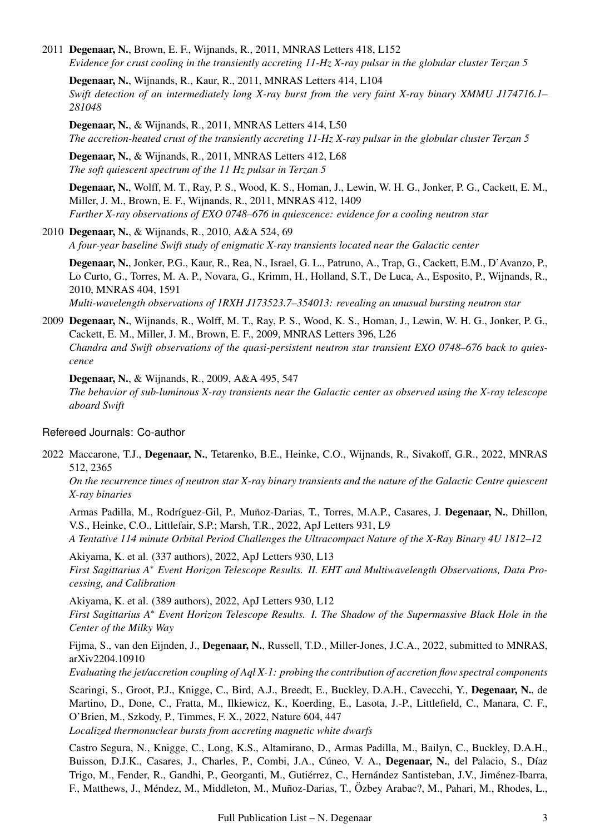2011 Degenaar, N., Brown, E. F., Wijnands, R., 2011, MNRAS Letters 418, L152 *Evidence for crust cooling in the transiently accreting 11-Hz X-ray pulsar in the globular cluster Terzan 5*

Degenaar, N., Wijnands, R., Kaur, R., 2011, MNRAS Letters 414, L104 *Swift detection of an intermediately long X-ray burst from the very faint X-ray binary XMMU J174716.1– 281048*

Degenaar, N., & Wijnands, R., 2011, MNRAS Letters 414, L50 *The accretion-heated crust of the transiently accreting 11-Hz X-ray pulsar in the globular cluster Terzan 5*

Degenaar, N., & Wijnands, R., 2011, MNRAS Letters 412, L68 *The soft quiescent spectrum of the 11 Hz pulsar in Terzan 5*

Degenaar, N., Wolff, M. T., Ray, P. S., Wood, K. S., Homan, J., Lewin, W. H. G., Jonker, P. G., Cackett, E. M., Miller, J. M., Brown, E. F., Wijnands, R., 2011, MNRAS 412, 1409 *Further X-ray observations of EXO 0748–676 in quiescence: evidence for a cooling neutron star*

#### 2010 Degenaar, N., & Wijnands, R., 2010, A&A 524, 69

*A four-year baseline Swift study of enigmatic X-ray transients located near the Galactic center*

Degenaar, N., Jonker, P.G., Kaur, R., Rea, N., Israel, G. L., Patruno, A., Trap, G., Cackett, E.M., D'Avanzo, P., Lo Curto, G., Torres, M. A. P., Novara, G., Krimm, H., Holland, S.T., De Luca, A., Esposito, P., Wijnands, R., 2010, MNRAS 404, 1591

*Multi-wavelength observations of 1RXH J173523.7–354013: revealing an unusual bursting neutron star*

2009 Degenaar, N., Wijnands, R., Wolff, M. T., Ray, P. S., Wood, K. S., Homan, J., Lewin, W. H. G., Jonker, P. G., Cackett, E. M., Miller, J. M., Brown, E. F., 2009, MNRAS Letters 396, L26 *Chandra and Swift observations of the quasi-persistent neutron star transient EXO 0748–676 back to quiescence*

Degenaar, N., & Wijnands, R., 2009, A&A 495, 547

*The behavior of sub-luminous X-ray transients near the Galactic center as observed using the X-ray telescope aboard Swift*

#### Refereed Journals: Co-author

2022 Maccarone, T.J., Degenaar, N., Tetarenko, B.E., Heinke, C.O., Wijnands, R., Sivakoff, G.R., 2022, MNRAS 512, 2365

*On the recurrence times of neutron star X-ray binary transients and the nature of the Galactic Centre quiescent X-ray binaries*

Armas Padilla, M., Rodríguez-Gil, P., Muñoz-Darias, T., Torres, M.A.P., Casares, J. Degenaar, N., Dhillon, V.S., Heinke, C.O., Littlefair, S.P.; Marsh, T.R., 2022, ApJ Letters 931, L9

*A Tentative 114 minute Orbital Period Challenges the Ultracompact Nature of the X-Ray Binary 4U 1812–12*

Akiyama, K. et al. (337 authors), 2022, ApJ Letters 930, L13 *First Sagittarius A*<sup>∗</sup> *Event Horizon Telescope Results. II. EHT and Multiwavelength Observations, Data Processing, and Calibration*

Akiyama, K. et al. (389 authors), 2022, ApJ Letters 930, L12 *First Sagittarius A*<sup>∗</sup> *Event Horizon Telescope Results. I. The Shadow of the Supermassive Black Hole in the Center of the Milky Way*

Fijma, S., van den Eijnden, J., Degenaar, N., Russell, T.D., Miller-Jones, J.C.A., 2022, submitted to MNRAS, arXiv2204.10910

*Evaluating the jet/accretion coupling of Aql X-1: probing the contribution of accretion flow spectral components*

Scaringi, S., Groot, P.J., Knigge, C., Bird, A.J., Breedt, E., Buckley, D.A.H., Cavecchi, Y., Degenaar, N., de Martino, D., Done, C., Fratta, M., Ilkiewicz, K., Koerding, E., Lasota, J.-P., Littlefield, C., Manara, C. F., O'Brien, M., Szkody, P., Timmes, F. X., 2022, Nature 604, 447 *Localized thermonuclear bursts from accreting magnetic white dwarfs*

Castro Segura, N., Knigge, C., Long, K.S., Altamirano, D., Armas Padilla, M., Bailyn, C., Buckley, D.A.H., Buisson, D.J.K., Casares, J., Charles, P., Combi, J.A., Cúneo, V. A., Degenaar, N., del Palacio, S., Díaz Trigo, M., Fender, R., Gandhi, P., Georganti, M., Gutiérrez, C., Hernández Santisteban, J.V., Jiménez-Ibarra, F., Matthews, J., Méndez, M., Middleton, M., Muñoz-Darias, T., Özbey Arabac?, M., Pahari, M., Rhodes, L.,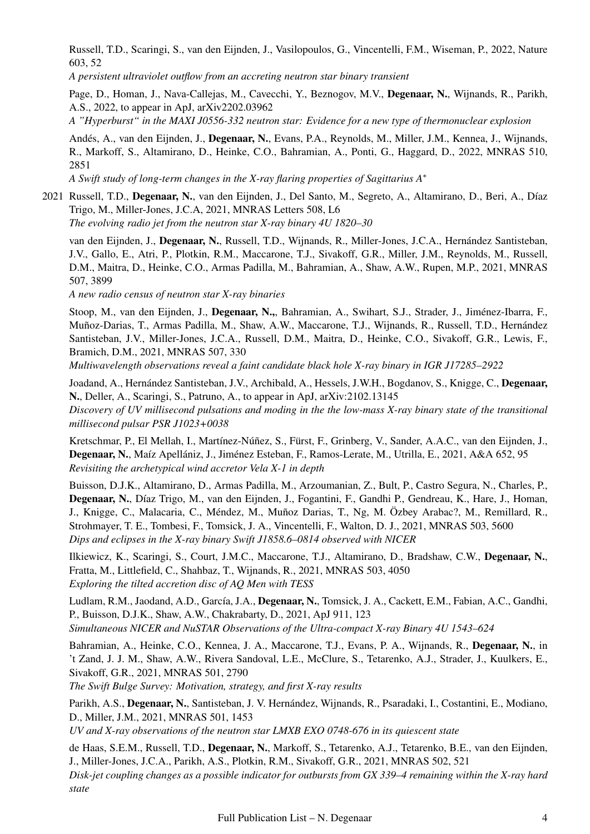Russell, T.D., Scaringi, S., van den Eijnden, J., Vasilopoulos, G., Vincentelli, F.M., Wiseman, P., 2022, Nature 603, 52

*A persistent ultraviolet outflow from an accreting neutron star binary transient*

Page, D., Homan, J., Nava-Callejas, M., Cavecchi, Y., Beznogov, M.V., Degenaar, N., Wijnands, R., Parikh, A.S., 2022, to appear in ApJ, arXiv2202.03962

*A "Hyperburst" in the MAXI J0556-332 neutron star: Evidence for a new type of thermonuclear explosion*

Andés, A., van den Eijnden, J., Degenaar, N., Evans, P.A., Reynolds, M., Miller, J.M., Kennea, J., Wijnands, R., Markoff, S., Altamirano, D., Heinke, C.O., Bahramian, A., Ponti, G., Haggard, D., 2022, MNRAS 510, 2851

*A Swift study of long-term changes in the X-ray flaring properties of Sagittarius A*<sup>∗</sup>

2021 Russell, T.D., Degenaar, N., van den Eijnden, J., Del Santo, M., Segreto, A., Altamirano, D., Beri, A., Díaz Trigo, M., Miller-Jones, J.C.A, 2021, MNRAS Letters 508, L6

*The evolving radio jet from the neutron star X-ray binary 4U 1820–30*

van den Eijnden, J., Degenaar, N., Russell, T.D., Wijnands, R., Miller-Jones, J.C.A., Hernández Santisteban, J.V., Gallo, E., Atri, P., Plotkin, R.M., Maccarone, T.J., Sivakoff, G.R., Miller, J.M., Reynolds, M., Russell, D.M., Maitra, D., Heinke, C.O., Armas Padilla, M., Bahramian, A., Shaw, A.W., Rupen, M.P., 2021, MNRAS 507, 3899

*A new radio census of neutron star X-ray binaries*

Stoop, M., van den Eijnden, J., Degenaar, N.,, Bahramian, A., Swihart, S.J., Strader, J., Jimenez-Ibarra, F., ´ Muñoz-Darias, T., Armas Padilla, M., Shaw, A.W., Maccarone, T.J., Wijnands, R., Russell, T.D., Hernández Santisteban, J.V., Miller-Jones, J.C.A., Russell, D.M., Maitra, D., Heinke, C.O., Sivakoff, G.R., Lewis, F., Bramich, D.M., 2021, MNRAS 507, 330

*Multiwavelength observations reveal a faint candidate black hole X-ray binary in IGR J17285–2922*

Joadand, A., Hernández Santisteban, J.V., Archibald, A., Hessels, J.W.H., Bogdanov, S., Knigge, C., Degenaar, N., Deller, A., Scaringi, S., Patruno, A., to appear in ApJ, arXiv:2102.13145 *Discovery of UV millisecond pulsations and moding in the the low-mass X-ray binary state of the transitional*

*millisecond pulsar PSR J1023+0038* Kretschmar, P., El Mellah, I., Martínez-Núñez, S., Fürst, F., Grinberg, V., Sander, A.A.C., van den Eijnden, J., Degenaar, N., Maíz Apellániz, J., Jiménez Esteban, F., Ramos-Lerate, M., Utrilla, E., 2021, A&A 652, 95 *Revisiting the archetypical wind accretor Vela X-1 in depth*

Buisson, D.J.K., Altamirano, D., Armas Padilla, M., Arzoumanian, Z., Bult, P., Castro Segura, N., Charles, P., Degenaar, N., Díaz Trigo, M., van den Eijnden, J., Fogantini, F., Gandhi P., Gendreau, K., Hare, J., Homan, J., Knigge, C., Malacaria, C., Méndez, M., Muñoz Darias, T., Ng, M. Özbey Arabac?, M., Remillard, R., Strohmayer, T. E., Tombesi, F., Tomsick, J. A., Vincentelli, F., Walton, D. J., 2021, MNRAS 503, 5600 *Dips and eclipses in the X-ray binary Swift J1858.6–0814 observed with NICER*

Ilkiewicz, K., Scaringi, S., Court, J.M.C., Maccarone, T.J., Altamirano, D., Bradshaw, C.W., Degenaar, N., Fratta, M., Littlefield, C., Shahbaz, T., Wijnands, R., 2021, MNRAS 503, 4050 *Exploring the tilted accretion disc of AQ Men with TESS*

Ludlam, R.M., Jaodand, A.D., García, J.A., Degenaar, N., Tomsick, J. A., Cackett, E.M., Fabian, A.C., Gandhi, P., Buisson, D.J.K., Shaw, A.W., Chakrabarty, D., 2021, ApJ 911, 123 *Simultaneous NICER and NuSTAR Observations of the Ultra-compact X-ray Binary 4U 1543–624*

Bahramian, A., Heinke, C.O., Kennea, J. A., Maccarone, T.J., Evans, P. A., Wijnands, R., Degenaar, N., in 't Zand, J. J. M., Shaw, A.W., Rivera Sandoval, L.E., McClure, S., Tetarenko, A.J., Strader, J., Kuulkers, E., Sivakoff, G.R., 2021, MNRAS 501, 2790

*The Swift Bulge Survey: Motivation, strategy, and first X-ray results*

Parikh, A.S., Degenaar, N., Santisteban, J. V. Hernández, Wijnands, R., Psaradaki, I., Costantini, E., Modiano, D., Miller, J.M., 2021, MNRAS 501, 1453

*UV and X-ray observations of the neutron star LMXB EXO 0748-676 in its quiescent state*

de Haas, S.E.M., Russell, T.D., Degenaar, N., Markoff, S., Tetarenko, A.J., Tetarenko, B.E., van den Eijnden, J., Miller-Jones, J.C.A., Parikh, A.S., Plotkin, R.M., Sivakoff, G.R., 2021, MNRAS 502, 521

*Disk-jet coupling changes as a possible indicator for outbursts from GX 339–4 remaining within the X-ray hard state*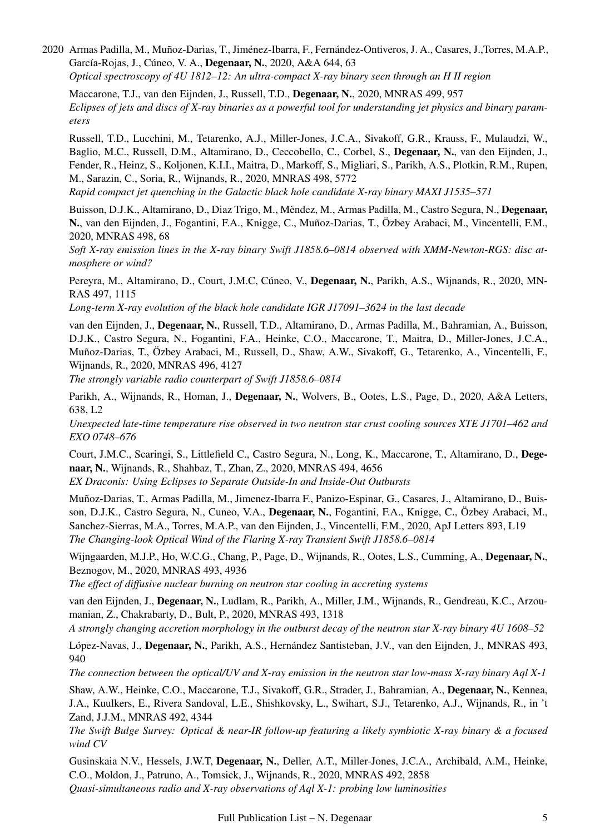2020 Armas Padilla, M., Muñoz-Darias, T., Jiménez-Ibarra, F., Fernández-Ontiveros, J. A., Casares, J., Torres, M.A.P., García-Rojas, J., Cúneo, V. A., Degenaar, N., 2020, A&A 644, 63 *Optical spectroscopy of 4U 1812–12: An ultra-compact X-ray binary seen through an H II region*

Maccarone, T.J., van den Eijnden, J., Russell, T.D., Degenaar, N., 2020, MNRAS 499, 957 *Eclipses of jets and discs of X-ray binaries as a powerful tool for understanding jet physics and binary parameters*

Russell, T.D., Lucchini, M., Tetarenko, A.J., Miller-Jones, J.C.A., Sivakoff, G.R., Krauss, F., Mulaudzi, W., Baglio, M.C., Russell, D.M., Altamirano, D., Ceccobello, C., Corbel, S., Degenaar, N., van den Eijnden, J., Fender, R., Heinz, S., Koljonen, K.I.I., Maitra, D., Markoff, S., Migliari, S., Parikh, A.S., Plotkin, R.M., Rupen, M., Sarazin, C., Soria, R., Wijnands, R., 2020, MNRAS 498, 5772

*Rapid compact jet quenching in the Galactic black hole candidate X-ray binary MAXI J1535–571*

Buisson, D.J.K., Altamirano, D., Diaz Trigo, M., Mèndez, M., Armas Padilla, M., Castro Segura, N., Degenaar, N., van den Eijnden, J., Fogantini, F.A., Knigge, C., Muñoz-Darias, T., Özbey Arabaci, M., Vincentelli, F.M., 2020, MNRAS 498, 68

*Soft X-ray emission lines in the X-ray binary Swift J1858.6–0814 observed with XMM-Newton-RGS: disc atmosphere or wind?*

Pereyra, M., Altamirano, D., Court, J.M.C, Cúneo, V., **Degenaar, N.**, Parikh, A.S., Wijnands, R., 2020, MN-RAS 497, 1115

*Long-term X-ray evolution of the black hole candidate IGR J17091–3624 in the last decade*

van den Eijnden, J., Degenaar, N., Russell, T.D., Altamirano, D., Armas Padilla, M., Bahramian, A., Buisson, D.J.K., Castro Segura, N., Fogantini, F.A., Heinke, C.O., Maccarone, T., Maitra, D., Miller-Jones, J.C.A., Muñoz-Darias, T., Özbey Arabaci, M., Russell, D., Shaw, A.W., Sivakoff, G., Tetarenko, A., Vincentelli, F., Wijnands, R., 2020, MNRAS 496, 4127

*The strongly variable radio counterpart of Swift J1858.6–0814*

Parikh, A., Wijnands, R., Homan, J., Degenaar, N., Wolvers, B., Ootes, L.S., Page, D., 2020, A&A Letters, 638, L2

*Unexpected late-time temperature rise observed in two neutron star crust cooling sources XTE J1701–462 and EXO 0748–676*

Court, J.M.C., Scaringi, S., Littlefield C., Castro Segura, N., Long, K., Maccarone, T., Altamirano, D., Degenaar, N., Wijnands, R., Shahbaz, T., Zhan, Z., 2020, MNRAS 494, 4656

*EX Draconis: Using Eclipses to Separate Outside-In and Inside-Out Outbursts*

Muñoz-Darias, T., Armas Padilla, M., Jimenez-Ibarra F., Panizo-Espinar, G., Casares, J., Altamirano, D., Buisson, D.J.K., Castro Segura, N., Cuneo, V.A., Degenaar, N., Fogantini, F.A., Knigge, C., Özbey Arabaci, M., Sanchez-Sierras, M.A., Torres, M.A.P., van den Eijnden, J., Vincentelli, F.M., 2020, ApJ Letters 893, L19 *The Changing-look Optical Wind of the Flaring X-ray Transient Swift J1858.6–0814*

Wijngaarden, M.J.P., Ho, W.C.G., Chang, P., Page, D., Wijnands, R., Ootes, L.S., Cumming, A., Degenaar, N., Beznogov, M., 2020, MNRAS 493, 4936

*The effect of diffusive nuclear burning on neutron star cooling in accreting systems*

van den Eijnden, J., Degenaar, N., Ludlam, R., Parikh, A., Miller, J.M., Wijnands, R., Gendreau, K.C., Arzoumanian, Z., Chakrabarty, D., Bult, P., 2020, MNRAS 493, 1318

*A strongly changing accretion morphology in the outburst decay of the neutron star X-ray binary 4U 1608–52*

López-Navas, J., Degenaar, N., Parikh, A.S., Hernández Santisteban, J.V., van den Eijnden, J., MNRAS 493,  $940$ 

*The connection between the optical/UV and X-ray emission in the neutron star low-mass X-ray binary Aql X-1*

Shaw, A.W., Heinke, C.O., Maccarone, T.J., Sivakoff, G.R., Strader, J., Bahramian, A., Degenaar, N., Kennea, J.A., Kuulkers, E., Rivera Sandoval, L.E., Shishkovsky, L., Swihart, S.J., Tetarenko, A.J., Wijnands, R., in 't Zand, J.J.M., MNRAS 492, 4344

*The Swift Bulge Survey: Optical & near-IR follow-up featuring a likely symbiotic X-ray binary & a focused wind CV*

Gusinskaia N.V., Hessels, J.W.T, Degenaar, N., Deller, A.T., Miller-Jones, J.C.A., Archibald, A.M., Heinke, C.O., Moldon, J., Patruno, A., Tomsick, J., Wijnands, R., 2020, MNRAS 492, 2858 *Quasi-simultaneous radio and X-ray observations of Aql X-1: probing low luminosities*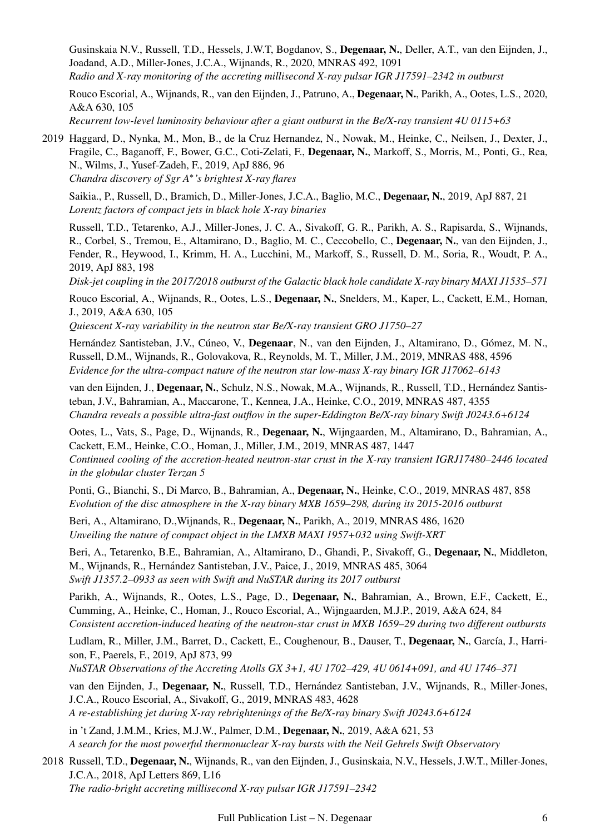Gusinskaia N.V., Russell, T.D., Hessels, J.W.T, Bogdanov, S., Degenaar, N., Deller, A.T., van den Eijnden, J., Joadand, A.D., Miller-Jones, J.C.A., Wijnands, R., 2020, MNRAS 492, 1091 *Radio and X-ray monitoring of the accreting millisecond X-ray pulsar IGR J17591–2342 in outburst*

Rouco Escorial, A., Wijnands, R., van den Eijnden, J., Patruno, A., Degenaar, N., Parikh, A., Ootes, L.S., 2020, A&A 630, 105 *Recurrent low-level luminosity behaviour after a giant outburst in the Be/X-ray transient 4U 0115+63*

2019 Haggard, D., Nynka, M., Mon, B., de la Cruz Hernandez, N., Nowak, M., Heinke, C., Neilsen, J., Dexter, J., Fragile, C., Baganoff, F., Bower, G.C., Coti-Zelati, F., Degenaar, N., Markoff, S., Morris, M., Ponti, G., Rea, N., Wilms, J., Yusef-Zadeh, F., 2019, ApJ 886, 96 *Chandra discovery of Sgr A*<sup>∗</sup> *'s brightest X-ray flares*

Saikia., P., Russell, D., Bramich, D., Miller-Jones, J.C.A., Baglio, M.C., Degenaar, N., 2019, ApJ 887, 21 *Lorentz factors of compact jets in black hole X-ray binaries*

Russell, T.D., Tetarenko, A.J., Miller-Jones, J. C. A., Sivakoff, G. R., Parikh, A. S., Rapisarda, S., Wijnands, R., Corbel, S., Tremou, E., Altamirano, D., Baglio, M. C., Ceccobello, C., Degenaar, N., van den Eijnden, J., Fender, R., Heywood, I., Krimm, H. A., Lucchini, M., Markoff, S., Russell, D. M., Soria, R., Woudt, P. A., 2019, ApJ 883, 198

*Disk-jet coupling in the 2017/2018 outburst of the Galactic black hole candidate X-ray binary MAXI J1535–571*

Rouco Escorial, A., Wijnands, R., Ootes, L.S., Degenaar, N., Snelders, M., Kaper, L., Cackett, E.M., Homan, J., 2019, A&A 630, 105

*Quiescent X-ray variability in the neutron star Be/X-ray transient GRO J1750–27*

Hernández Santisteban, J.V., Cúneo, V., Degenaar, N., van den Eijnden, J., Altamirano, D., Gómez, M. N., Russell, D.M., Wijnands, R., Golovakova, R., Reynolds, M. T., Miller, J.M., 2019, MNRAS 488, 4596 *Evidence for the ultra-compact nature of the neutron star low-mass X-ray binary IGR J17062–6143*

van den Eijnden, J., Degenaar, N., Schulz, N.S., Nowak, M.A., Wijnands, R., Russell, T.D., Hernández Santisteban, J.V., Bahramian, A., Maccarone, T., Kennea, J.A., Heinke, C.O., 2019, MNRAS 487, 4355 *Chandra reveals a possible ultra-fast outflow in the super-Eddington Be/X-ray binary Swift J0243.6+6124*

Ootes, L., Vats, S., Page, D., Wijnands, R., Degenaar, N., Wijngaarden, M., Altamirano, D., Bahramian, A., Cackett, E.M., Heinke, C.O., Homan, J., Miller, J.M., 2019, MNRAS 487, 1447 *Continued cooling of the accretion-heated neutron-star crust in the X-ray transient IGRJ17480–2446 located in the globular cluster Terzan 5*

Ponti, G., Bianchi, S., Di Marco, B., Bahramian, A., Degenaar, N., Heinke, C.O., 2019, MNRAS 487, 858 *Evolution of the disc atmosphere in the X-ray binary MXB 1659–298, during its 2015-2016 outburst*

Beri, A., Altamirano, D.,Wijnands, R., Degenaar, N., Parikh, A., 2019, MNRAS 486, 1620 *Unveiling the nature of compact object in the LMXB MAXI 1957+032 using Swift-XRT*

Beri, A., Tetarenko, B.E., Bahramian, A., Altamirano, D., Ghandi, P., Sivakoff, G., Degenaar, N., Middleton, M., Wijnands, R., Hernández Santisteban, J.V., Paice, J., 2019, MNRAS 485, 3064 *Swift J1357.2–0933 as seen with Swift and NuSTAR during its 2017 outburst*

Parikh, A., Wijnands, R., Ootes, L.S., Page, D., Degenaar, N., Bahramian, A., Brown, E.F., Cackett, E., Cumming, A., Heinke, C., Homan, J., Rouco Escorial, A., Wijngaarden, M.J.P., 2019, A&A 624, 84 *Consistent accretion-induced heating of the neutron-star crust in MXB 1659–29 during two different outbursts*

Ludlam, R., Miller, J.M., Barret, D., Cackett, E., Coughenour, B., Dauser, T., Degenaar, N., García, J., Harrison, F., Paerels, F., 2019, ApJ 873, 99

*NuSTAR Observations of the Accreting Atolls GX 3+1, 4U 1702–429, 4U 0614+091, and 4U 1746–371*

van den Eijnden, J., Degenaar, N., Russell, T.D., Hernández Santisteban, J.V., Wijnands, R., Miller-Jones, J.C.A., Rouco Escorial, A., Sivakoff, G., 2019, MNRAS 483, 4628

*A re-establishing jet during X-ray rebrightenings of the Be/X-ray binary Swift J0243.6+6124*

in 't Zand, J.M.M., Kries, M.J.W., Palmer, D.M., Degenaar, N., 2019, A&A 621, 53 *A search for the most powerful thermonuclear X-ray bursts with the Neil Gehrels Swift Observatory*

2018 Russell, T.D., Degenaar, N., Wijnands, R., van den Eijnden, J., Gusinskaia, N.V., Hessels, J.W.T., Miller-Jones, J.C.A., 2018, ApJ Letters 869, L16 *The radio-bright accreting millisecond X-ray pulsar IGR J17591–2342*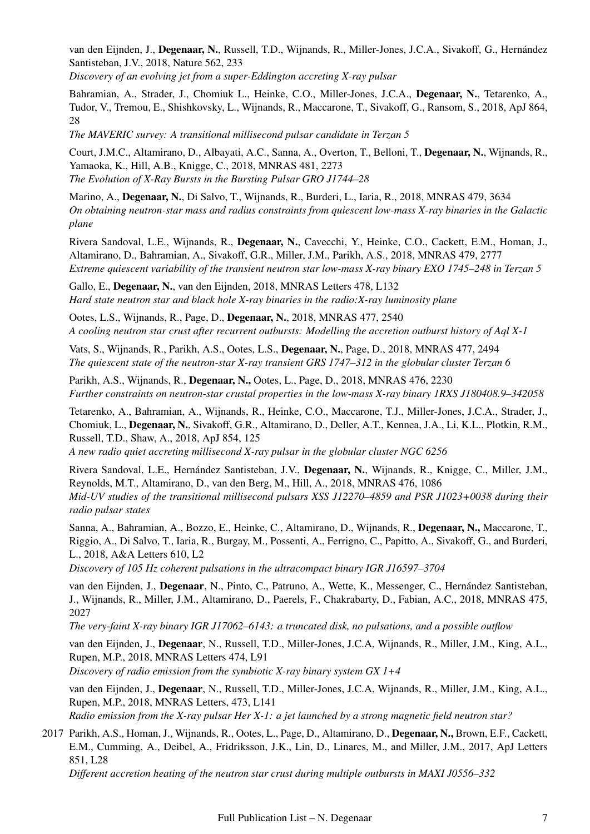van den Eijnden, J., Degenaar, N., Russell, T.D., Wijnands, R., Miller-Jones, J.C.A., Sivakoff, G., Hernández Santisteban, J.V., 2018, Nature 562, 233

*Discovery of an evolving jet from a super-Eddington accreting X-ray pulsar*

Bahramian, A., Strader, J., Chomiuk L., Heinke, C.O., Miller-Jones, J.C.A., Degenaar, N., Tetarenko, A., Tudor, V., Tremou, E., Shishkovsky, L., Wijnands, R., Maccarone, T., Sivakoff, G., Ransom, S., 2018, ApJ 864, 28

*The MAVERIC survey: A transitional millisecond pulsar candidate in Terzan 5*

Court, J.M.C., Altamirano, D., Albayati, A.C., Sanna, A., Overton, T., Belloni, T., Degenaar, N., Wijnands, R., Yamaoka, K., Hill, A.B., Knigge, C., 2018, MNRAS 481, 2273 *The Evolution of X-Ray Bursts in the Bursting Pulsar GRO J1744–28*

Marino, A., Degenaar, N., Di Salvo, T., Wijnands, R., Burderi, L., Iaria, R., 2018, MNRAS 479, 3634 *On obtaining neutron-star mass and radius constraints from quiescent low-mass X-ray binaries in the Galactic plane*

Rivera Sandoval, L.E., Wijnands, R., Degenaar, N., Cavecchi, Y., Heinke, C.O., Cackett, E.M., Homan, J., Altamirano, D., Bahramian, A., Sivakoff, G.R., Miller, J.M., Parikh, A.S., 2018, MNRAS 479, 2777 *Extreme quiescent variability of the transient neutron star low-mass X-ray binary EXO 1745–248 in Terzan 5*

Gallo, E., Degenaar, N., van den Eijnden, 2018, MNRAS Letters 478, L132 *Hard state neutron star and black hole X-ray binaries in the radio:X-ray luminosity plane*

Ootes, L.S., Wijnands, R., Page, D., Degenaar, N., 2018, MNRAS 477, 2540 *A cooling neutron star crust after recurrent outbursts: Modelling the accretion outburst history of Aql X-1*

Vats, S., Wijnands, R., Parikh, A.S., Ootes, L.S., Degenaar, N., Page, D., 2018, MNRAS 477, 2494 *The quiescent state of the neutron-star X-ray transient GRS 1747–312 in the globular cluster Terzan 6*

Parikh, A.S., Wijnands, R., Degenaar, N., Ootes, L., Page, D., 2018, MNRAS 476, 2230 *Further constraints on neutron-star crustal properties in the low-mass X-ray binary 1RXS J180408.9–342058*

Tetarenko, A., Bahramian, A., Wijnands, R., Heinke, C.O., Maccarone, T.J., Miller-Jones, J.C.A., Strader, J., Chomiuk, L., Degenaar, N., Sivakoff, G.R., Altamirano, D., Deller, A.T., Kennea, J.A., Li, K.L., Plotkin, R.M., Russell, T.D., Shaw, A., 2018, ApJ 854, 125

*A new radio quiet accreting millisecond X-ray pulsar in the globular cluster NGC 6256*

Rivera Sandoval, L.E., Hernández Santisteban, J.V., Degenaar, N., Wijnands, R., Knigge, C., Miller, J.M., Reynolds, M.T., Altamirano, D., van den Berg, M., Hill, A., 2018, MNRAS 476, 1086 *Mid-UV studies of the transitional millisecond pulsars XSS J12270–4859 and PSR J1023+0038 during their radio pulsar states*

Sanna, A., Bahramian, A., Bozzo, E., Heinke, C., Altamirano, D., Wijnands, R., Degenaar, N., Maccarone, T., Riggio, A., Di Salvo, T., Iaria, R., Burgay, M., Possenti, A., Ferrigno, C., Papitto, A., Sivakoff, G., and Burderi, L., 2018, A&A Letters 610, L2

*Discovery of 105 Hz coherent pulsations in the ultracompact binary IGR J16597–3704*

van den Eijnden, J., Degenaar, N., Pinto, C., Patruno, A., Wette, K., Messenger, C., Hernandez Santisteban, ´ J., Wijnands, R., Miller, J.M., Altamirano, D., Paerels, F., Chakrabarty, D., Fabian, A.C., 2018, MNRAS 475, 2027

*The very-faint X-ray binary IGR J17062–6143: a truncated disk, no pulsations, and a possible outflow*

van den Eijnden, J., Degenaar, N., Russell, T.D., Miller-Jones, J.C.A, Wijnands, R., Miller, J.M., King, A.L., Rupen, M.P., 2018, MNRAS Letters 474, L91

*Discovery of radio emission from the symbiotic X-ray binary system GX 1+4*

van den Eijnden, J., Degenaar, N., Russell, T.D., Miller-Jones, J.C.A, Wijnands, R., Miller, J.M., King, A.L., Rupen, M.P., 2018, MNRAS Letters, 473, L141 *Radio emission from the X-ray pulsar Her X-1: a jet launched by a strong magnetic field neutron star?*

2017 Parikh, A.S., Homan, J., Wijnands, R., Ootes, L., Page, D., Altamirano, D., Degenaar, N., Brown, E.F., Cackett, E.M., Cumming, A., Deibel, A., Fridriksson, J.K., Lin, D., Linares, M., and Miller, J.M., 2017, ApJ Letters 851, L28

*Different accretion heating of the neutron star crust during multiple outbursts in MAXI J0556–332*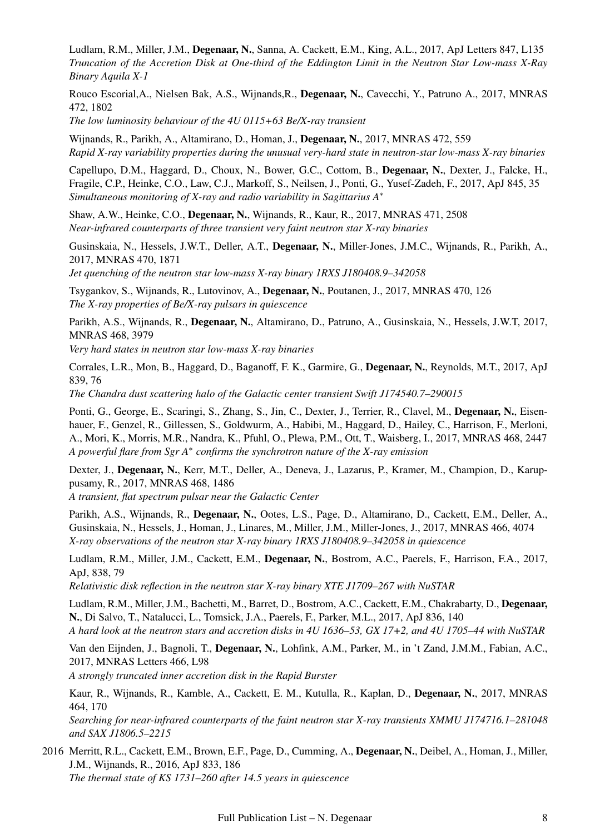Ludlam, R.M., Miller, J.M., Degenaar, N., Sanna, A. Cackett, E.M., King, A.L., 2017, ApJ Letters 847, L135 *Truncation of the Accretion Disk at One-third of the Eddington Limit in the Neutron Star Low-mass X-Ray Binary Aquila X-1*

Rouco Escorial,A., Nielsen Bak, A.S., Wijnands,R., Degenaar, N., Cavecchi, Y., Patruno A., 2017, MNRAS 472, 1802

*The low luminosity behaviour of the 4U 0115+63 Be/X-ray transient*

Wijnands, R., Parikh, A., Altamirano, D., Homan, J., Degenaar, N., 2017, MNRAS 472, 559 *Rapid X-ray variability properties during the unusual very-hard state in neutron-star low-mass X-ray binaries*

Capellupo, D.M., Haggard, D., Choux, N., Bower, G.C., Cottom, B., Degenaar, N., Dexter, J., Falcke, H., Fragile, C.P., Heinke, C.O., Law, C.J., Markoff, S., Neilsen, J., Ponti, G., Yusef-Zadeh, F., 2017, ApJ 845, 35 *Simultaneous monitoring of X-ray and radio variability in Sagittarius A*<sup>∗</sup>

Shaw, A.W., Heinke, C.O., Degenaar, N., Wijnands, R., Kaur, R., 2017, MNRAS 471, 2508 *Near-infrared counterparts of three transient very faint neutron star X-ray binaries*

Gusinskaia, N., Hessels, J.W.T., Deller, A.T., Degenaar, N., Miller-Jones, J.M.C., Wijnands, R., Parikh, A., 2017, MNRAS 470, 1871

*Jet quenching of the neutron star low-mass X-ray binary 1RXS J180408.9–342058*

Tsygankov, S., Wijnands, R., Lutovinov, A., Degenaar, N., Poutanen, J., 2017, MNRAS 470, 126 *The X-ray properties of Be/X-ray pulsars in quiescence*

Parikh, A.S., Wijnands, R., Degenaar, N., Altamirano, D., Patruno, A., Gusinskaia, N., Hessels, J.W.T, 2017, MNRAS 468, 3979

*Very hard states in neutron star low-mass X-ray binaries*

Corrales, L.R., Mon, B., Haggard, D., Baganoff, F. K., Garmire, G., Degenaar, N., Reynolds, M.T., 2017, ApJ 839, 76

*The Chandra dust scattering halo of the Galactic center transient Swift J174540.7–290015*

Ponti, G., George, E., Scaringi, S., Zhang, S., Jin, C., Dexter, J., Terrier, R., Clavel, M., Degenaar, N., Eisenhauer, F., Genzel, R., Gillessen, S., Goldwurm, A., Habibi, M., Haggard, D., Hailey, C., Harrison, F., Merloni, A., Mori, K., Morris, M.R., Nandra, K., Pfuhl, O., Plewa, P.M., Ott, T., Waisberg, I., 2017, MNRAS 468, 2447 *A powerful flare from Sgr A*<sup>∗</sup> *confirms the synchrotron nature of the X-ray emission*

Dexter, J., Degenaar, N., Kerr, M.T., Deller, A., Deneva, J., Lazarus, P., Kramer, M., Champion, D., Karuppusamy, R., 2017, MNRAS 468, 1486

*A transient, flat spectrum pulsar near the Galactic Center*

Parikh, A.S., Wijnands, R., Degenaar, N., Ootes, L.S., Page, D., Altamirano, D., Cackett, E.M., Deller, A., Gusinskaia, N., Hessels, J., Homan, J., Linares, M., Miller, J.M., Miller-Jones, J., 2017, MNRAS 466, 4074 *X-ray observations of the neutron star X-ray binary 1RXS J180408.9–342058 in quiescence*

Ludlam, R.M., Miller, J.M., Cackett, E.M., Degenaar, N., Bostrom, A.C., Paerels, F., Harrison, F.A., 2017, ApJ, 838, 79

*Relativistic disk reflection in the neutron star X-ray binary XTE J1709–267 with NuSTAR*

Ludlam, R.M., Miller, J.M., Bachetti, M., Barret, D., Bostrom, A.C., Cackett, E.M., Chakrabarty, D., Degenaar, N., Di Salvo, T., Natalucci, L., Tomsick, J.A., Paerels, F., Parker, M.L., 2017, ApJ 836, 140 *A hard look at the neutron stars and accretion disks in 4U 1636–53, GX 17+2, and 4U 1705–44 with NuSTAR*

Van den Eijnden, J., Bagnoli, T., Degenaar, N., Lohfink, A.M., Parker, M., in 't Zand, J.M.M., Fabian, A.C., 2017, MNRAS Letters 466, L98

*A strongly truncated inner accretion disk in the Rapid Burster*

Kaur, R., Wijnands, R., Kamble, A., Cackett, E. M., Kutulla, R., Kaplan, D., Degenaar, N., 2017, MNRAS 464, 170

*Searching for near-infrared counterparts of the faint neutron star X-ray transients XMMU J174716.1–281048 and SAX J1806.5–2215*

2016 Merritt, R.L., Cackett, E.M., Brown, E.F., Page, D., Cumming, A., Degenaar, N., Deibel, A., Homan, J., Miller, J.M., Wijnands, R., 2016, ApJ 833, 186 *The thermal state of KS 1731–260 after 14.5 years in quiescence*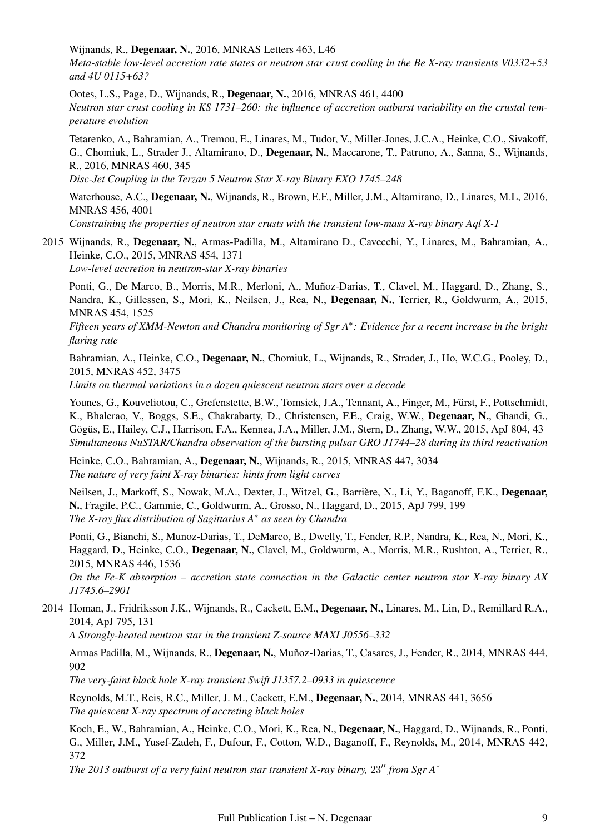Wijnands, R., Degenaar, N., 2016, MNRAS Letters 463, L46

*Meta-stable low-level accretion rate states or neutron star crust cooling in the Be X-ray transients V0332+53 and 4U 0115+63?*

Ootes, L.S., Page, D., Wijnands, R., Degenaar, N., 2016, MNRAS 461, 4400 *Neutron star crust cooling in KS 1731–260: the influence of accretion outburst variability on the crustal temperature evolution*

Tetarenko, A., Bahramian, A., Tremou, E., Linares, M., Tudor, V., Miller-Jones, J.C.A., Heinke, C.O., Sivakoff, G., Chomiuk, L., Strader J., Altamirano, D., Degenaar, N., Maccarone, T., Patruno, A., Sanna, S., Wijnands, R., 2016, MNRAS 460, 345

*Disc-Jet Coupling in the Terzan 5 Neutron Star X-ray Binary EXO 1745–248*

Waterhouse, A.C., Degenaar, N., Wijnands, R., Brown, E.F., Miller, J.M., Altamirano, D., Linares, M.L, 2016, MNRAS 456, 4001

*Constraining the properties of neutron star crusts with the transient low-mass X-ray binary Aql X-1*

2015 Wijnands, R., Degenaar, N., Armas-Padilla, M., Altamirano D., Cavecchi, Y., Linares, M., Bahramian, A., Heinke, C.O., 2015, MNRAS 454, 1371 *Low-level accretion in neutron-star X-ray binaries*

Ponti, G., De Marco, B., Morris, M.R., Merloni, A., Muñoz-Darias, T., Clavel, M., Haggard, D., Zhang, S., Nandra, K., Gillessen, S., Mori, K., Neilsen, J., Rea, N., Degenaar, N., Terrier, R., Goldwurm, A., 2015, MNRAS 454, 1525

*Fifteen years of XMM-Newton and Chandra monitoring of Sgr A*<sup>∗</sup> *: Evidence for a recent increase in the bright flaring rate*

Bahramian, A., Heinke, C.O., Degenaar, N., Chomiuk, L., Wijnands, R., Strader, J., Ho, W.C.G., Pooley, D., 2015, MNRAS 452, 3475

*Limits on thermal variations in a dozen quiescent neutron stars over a decade*

Younes, G., Kouveliotou, C., Grefenstette, B.W., Tomsick, J.A., Tennant, A., Finger, M., Fürst, F., Pottschmidt, K., Bhalerao, V., Boggs, S.E., Chakrabarty, D., Christensen, F.E., Craig, W.W., Degenaar, N., Ghandi, G., Gögüs, E., Hailey, C.J., Harrison, F.A., Kennea, J.A., Miller, J.M., Stern, D., Zhang, W.W., 2015, ApJ 804, 43 *Simultaneous NuSTAR/Chandra observation of the bursting pulsar GRO J1744–28 during its third reactivation*

Heinke, C.O., Bahramian, A., Degenaar, N., Wijnands, R., 2015, MNRAS 447, 3034 *The nature of very faint X-ray binaries: hints from light curves*

Neilsen, J., Markoff, S., Nowak, M.A., Dexter, J., Witzel, G., Barrière, N., Li, Y., Baganoff, F.K., Degenaar, N., Fragile, P.C., Gammie, C., Goldwurm, A., Grosso, N., Haggard, D., 2015, ApJ 799, 199 *The X-ray flux distribution of Sagittarius A*<sup>∗</sup> *as seen by Chandra*

Ponti, G., Bianchi, S., Munoz-Darias, T., DeMarco, B., Dwelly, T., Fender, R.P., Nandra, K., Rea, N., Mori, K., Haggard, D., Heinke, C.O., Degenaar, N., Clavel, M., Goldwurm, A., Morris, M.R., Rushton, A., Terrier, R., 2015, MNRAS 446, 1536

*On the Fe-K absorption – accretion state connection in the Galactic center neutron star X-ray binary AX J1745.6–2901*

2014 Homan, J., Fridriksson J.K., Wijnands, R., Cackett, E.M., Degenaar, N., Linares, M., Lin, D., Remillard R.A., 2014, ApJ 795, 131

*A Strongly-heated neutron star in the transient Z-source MAXI J0556–332*

Armas Padilla, M., Wijnands, R., Degenaar, N., Muñoz-Darias, T., Casares, J., Fender, R., 2014, MNRAS 444, 902

*The very-faint black hole X-ray transient Swift J1357.2–0933 in quiescence*

Reynolds, M.T., Reis, R.C., Miller, J. M., Cackett, E.M., Degenaar, N., 2014, MNRAS 441, 3656 *The quiescent X-ray spectrum of accreting black holes*

Koch, E., W., Bahramian, A., Heinke, C.O., Mori, K., Rea, N., Degenaar, N., Haggard, D., Wijnands, R., Ponti, G., Miller, J.M., Yusef-Zadeh, F., Dufour, F., Cotton, W.D., Baganoff, F., Reynolds, M., 2014, MNRAS 442, 372

*The 2013 outburst of a very faint neutron star transient X-ray binary, 23" from Sgr A\**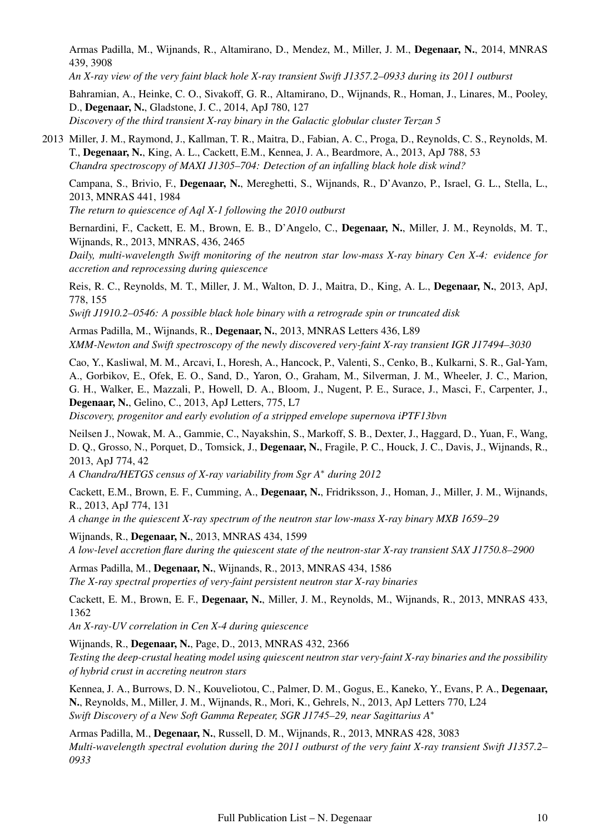Armas Padilla, M., Wijnands, R., Altamirano, D., Mendez, M., Miller, J. M., Degenaar, N., 2014, MNRAS 439, 3908

*An X-ray view of the very faint black hole X-ray transient Swift J1357.2–0933 during its 2011 outburst*

Bahramian, A., Heinke, C. O., Sivakoff, G. R., Altamirano, D., Wijnands, R., Homan, J., Linares, M., Pooley, D., Degenaar, N., Gladstone, J. C., 2014, ApJ 780, 127 *Discovery of the third transient X-ray binary in the Galactic globular cluster Terzan 5*

2013 Miller, J. M., Raymond, J., Kallman, T. R., Maitra, D., Fabian, A. C., Proga, D., Reynolds, C. S., Reynolds, M. T., Degenaar, N., King, A. L., Cackett, E.M., Kennea, J. A., Beardmore, A., 2013, ApJ 788, 53 *Chandra spectroscopy of MAXI J1305–704: Detection of an infalling black hole disk wind?*

Campana, S., Brivio, F., Degenaar, N., Mereghetti, S., Wijnands, R., D'Avanzo, P., Israel, G. L., Stella, L., 2013, MNRAS 441, 1984

*The return to quiescence of Aql X-1 following the 2010 outburst*

Bernardini, F., Cackett, E. M., Brown, E. B., D'Angelo, C., Degenaar, N., Miller, J. M., Reynolds, M. T., Wijnands, R., 2013, MNRAS, 436, 2465

*Daily, multi-wavelength Swift monitoring of the neutron star low-mass X-ray binary Cen X-4: evidence for accretion and reprocessing during quiescence*

Reis, R. C., Reynolds, M. T., Miller, J. M., Walton, D. J., Maitra, D., King, A. L., Degenaar, N., 2013, ApJ, 778, 155

*Swift J1910.2–0546: A possible black hole binary with a retrograde spin or truncated disk*

Armas Padilla, M., Wijnands, R., Degenaar, N., 2013, MNRAS Letters 436, L89 *XMM-Newton and Swift spectroscopy of the newly discovered very-faint X-ray transient IGR J17494–3030*

Cao, Y., Kasliwal, M. M., Arcavi, I., Horesh, A., Hancock, P., Valenti, S., Cenko, B., Kulkarni, S. R., Gal-Yam, A., Gorbikov, E., Ofek, E. O., Sand, D., Yaron, O., Graham, M., Silverman, J. M., Wheeler, J. C., Marion, G. H., Walker, E., Mazzali, P., Howell, D. A., Bloom, J., Nugent, P. E., Surace, J., Masci, F., Carpenter, J., Degenaar, N., Gelino, C., 2013, ApJ Letters, 775, L7

*Discovery, progenitor and early evolution of a stripped envelope supernova iPTF13bvn*

Neilsen J., Nowak, M. A., Gammie, C., Nayakshin, S., Markoff, S. B., Dexter, J., Haggard, D., Yuan, F., Wang, D. Q., Grosso, N., Porquet, D., Tomsick, J., Degenaar, N., Fragile, P. C., Houck, J. C., Davis, J., Wijnands, R., 2013, ApJ 774, 42

*A Chandra/HETGS census of X-ray variability from Sgr A*<sup>∗</sup> *during 2012*

Cackett, E.M., Brown, E. F., Cumming, A., Degenaar, N., Fridriksson, J., Homan, J., Miller, J. M., Wijnands, R., 2013, ApJ 774, 131

*A change in the quiescent X-ray spectrum of the neutron star low-mass X-ray binary MXB 1659–29*

Wijnands, R., Degenaar, N., 2013, MNRAS 434, 1599 *A low-level accretion flare during the quiescent state of the neutron-star X-ray transient SAX J1750.8–2900*

Armas Padilla, M., Degenaar, N., Wijnands, R., 2013, MNRAS 434, 1586 *The X-ray spectral properties of very-faint persistent neutron star X-ray binaries*

Cackett, E. M., Brown, E. F., Degenaar, N., Miller, J. M., Reynolds, M., Wijnands, R., 2013, MNRAS 433, 1362

*An X-ray-UV correlation in Cen X-4 during quiescence*

Wijnands, R., Degenaar, N., Page, D., 2013, MNRAS 432, 2366 *Testing the deep-crustal heating model using quiescent neutron star very-faint X-ray binaries and the possibility of hybrid crust in accreting neutron stars*

Kennea, J. A., Burrows, D. N., Kouveliotou, C., Palmer, D. M., Gogus, E., Kaneko, Y., Evans, P. A., Degenaar, N., Reynolds, M., Miller, J. M., Wijnands, R., Mori, K., Gehrels, N., 2013, ApJ Letters 770, L24 *Swift Discovery of a New Soft Gamma Repeater, SGR J1745–29, near Sagittarius A*<sup>∗</sup>

Armas Padilla, M., Degenaar, N., Russell, D. M., Wijnands, R., 2013, MNRAS 428, 3083 *Multi-wavelength spectral evolution during the 2011 outburst of the very faint X-ray transient Swift J1357.2– 0933*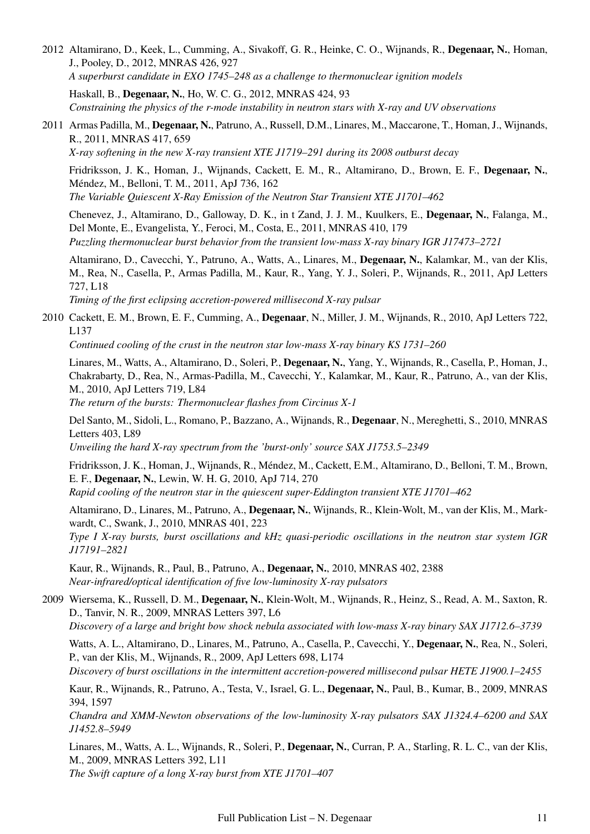2012 Altamirano, D., Keek, L., Cumming, A., Sivakoff, G. R., Heinke, C. O., Wijnands, R., Degenaar, N., Homan, J., Pooley, D., 2012, MNRAS 426, 927 *A superburst candidate in EXO 1745–248 as a challenge to thermonuclear ignition models*

Haskall, B., Degenaar, N., Ho, W. C. G., 2012, MNRAS 424, 93 *Constraining the physics of the r-mode instability in neutron stars with X-ray and UV observations*

2011 Armas Padilla, M., Degenaar, N., Patruno, A., Russell, D.M., Linares, M., Maccarone, T., Homan, J., Wijnands, R., 2011, MNRAS 417, 659

*X-ray softening in the new X-ray transient XTE J1719–291 during its 2008 outburst decay*

Fridriksson, J. K., Homan, J., Wijnands, Cackett, E. M., R., Altamirano, D., Brown, E. F., Degenaar, N., Mendez, M., Belloni, T. M., 2011, ApJ 736, 162 ´ *The Variable Quiescent X-Ray Emission of the Neutron Star Transient XTE J1701–462*

Chenevez, J., Altamirano, D., Galloway, D. K., in t Zand, J. J. M., Kuulkers, E., Degenaar, N., Falanga, M., Del Monte, E., Evangelista, Y., Feroci, M., Costa, E., 2011, MNRAS 410, 179 *Puzzling thermonuclear burst behavior from the transient low-mass X-ray binary IGR J17473–2721*

Altamirano, D., Cavecchi, Y., Patruno, A., Watts, A., Linares, M., Degenaar, N., Kalamkar, M., van der Klis, M., Rea, N., Casella, P., Armas Padilla, M., Kaur, R., Yang, Y. J., Soleri, P., Wijnands, R., 2011, ApJ Letters 727, L18

*Timing of the first eclipsing accretion-powered millisecond X-ray pulsar*

2010 Cackett, E. M., Brown, E. F., Cumming, A., Degenaar, N., Miller, J. M., Wijnands, R., 2010, ApJ Letters 722, L137

*Continued cooling of the crust in the neutron star low-mass X-ray binary KS 1731–260*

Linares, M., Watts, A., Altamirano, D., Soleri, P., Degenaar, N., Yang, Y., Wijnands, R., Casella, P., Homan, J., Chakrabarty, D., Rea, N., Armas-Padilla, M., Cavecchi, Y., Kalamkar, M., Kaur, R., Patruno, A., van der Klis, M., 2010, ApJ Letters 719, L84

*The return of the bursts: Thermonuclear flashes from Circinus X-1*

Del Santo, M., Sidoli, L., Romano, P., Bazzano, A., Wijnands, R., Degenaar, N., Mereghetti, S., 2010, MNRAS Letters 403, L89

*Unveiling the hard X-ray spectrum from the 'burst-only' source SAX J1753.5–2349*

Fridriksson, J. K., Homan, J., Wijnands, R., Mendez, M., Cackett, E.M., Altamirano, D., Belloni, T. M., Brown, ´ E. F., Degenaar, N., Lewin, W. H. G, 2010, ApJ 714, 270

*Rapid cooling of the neutron star in the quiescent super-Eddington transient XTE J1701–462*

Altamirano, D., Linares, M., Patruno, A., Degenaar, N., Wijnands, R., Klein-Wolt, M., van der Klis, M., Markwardt, C., Swank, J., 2010, MNRAS 401, 223

*Type I X-ray bursts, burst oscillations and kHz quasi-periodic oscillations in the neutron star system IGR J17191–2821*

Kaur, R., Wijnands, R., Paul, B., Patruno, A., Degenaar, N., 2010, MNRAS 402, 2388 *Near-infrared/optical identification of five low-luminosity X-ray pulsators*

2009 Wiersema, K., Russell, D. M., Degenaar, N., Klein-Wolt, M., Wijnands, R., Heinz, S., Read, A. M., Saxton, R. D., Tanvir, N. R., 2009, MNRAS Letters 397, L6

*Discovery of a large and bright bow shock nebula associated with low-mass X-ray binary SAX J1712.6–3739*

Watts, A. L., Altamirano, D., Linares, M., Patruno, A., Casella, P., Cavecchi, Y., Degenaar, N., Rea, N., Soleri, P., van der Klis, M., Wijnands, R., 2009, ApJ Letters 698, L174

*Discovery of burst oscillations in the intermittent accretion-powered millisecond pulsar HETE J1900.1–2455*

Kaur, R., Wijnands, R., Patruno, A., Testa, V., Israel, G. L., Degenaar, N., Paul, B., Kumar, B., 2009, MNRAS 394, 1597

*Chandra and XMM-Newton observations of the low-luminosity X-ray pulsators SAX J1324.4–6200 and SAX J1452.8–5949*

Linares, M., Watts, A. L., Wijnands, R., Soleri, P., Degenaar, N., Curran, P. A., Starling, R. L. C., van der Klis, M., 2009, MNRAS Letters 392, L11

*The Swift capture of a long X-ray burst from XTE J1701–407*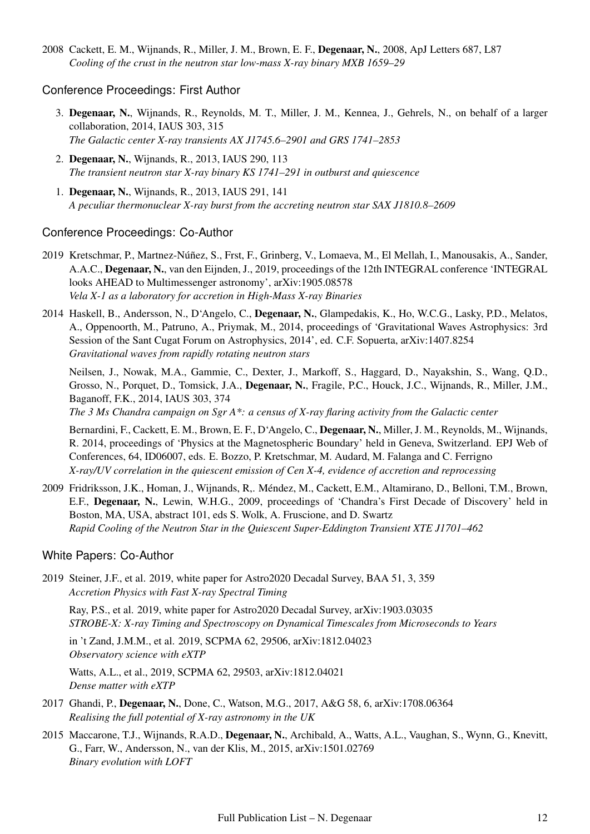2008 Cackett, E. M., Wijnands, R., Miller, J. M., Brown, E. F., Degenaar, N., 2008, ApJ Letters 687, L87 *Cooling of the crust in the neutron star low-mass X-ray binary MXB 1659–29*

#### Conference Proceedings: First Author

- 3. Degenaar, N., Wijnands, R., Reynolds, M. T., Miller, J. M., Kennea, J., Gehrels, N., on behalf of a larger collaboration, 2014, IAUS 303, 315 *The Galactic center X-ray transients AX J1745.6–2901 and GRS 1741–2853*
- 2. Degenaar, N., Wijnands, R., 2013, IAUS 290, 113 *The transient neutron star X-ray binary KS 1741–291 in outburst and quiescence*
- 1. Degenaar, N., Wijnands, R., 2013, IAUS 291, 141 *A peculiar thermonuclear X-ray burst from the accreting neutron star SAX J1810.8–2609*

#### Conference Proceedings: Co-Author

- 2019 Kretschmar, P., Martnez-Núñez, S., Frst, F., Grinberg, V., Lomaeva, M., El Mellah, I., Manousakis, A., Sander, A.A.C., Degenaar, N., van den Eijnden, J., 2019, proceedings of the 12th INTEGRAL conference 'INTEGRAL looks AHEAD to Multimessenger astronomy', arXiv:1905.08578 *Vela X-1 as a laboratory for accretion in High-Mass X-ray Binaries*
- 2014 Haskell, B., Andersson, N., D'Angelo, C., Degenaar, N., Glampedakis, K., Ho, W.C.G., Lasky, P.D., Melatos, A., Oppenoorth, M., Patruno, A., Priymak, M., 2014, proceedings of 'Gravitational Waves Astrophysics: 3rd Session of the Sant Cugat Forum on Astrophysics, 2014', ed. C.F. Sopuerta, arXiv:1407.8254 *Gravitational waves from rapidly rotating neutron stars*

Neilsen, J., Nowak, M.A., Gammie, C., Dexter, J., Markoff, S., Haggard, D., Nayakshin, S., Wang, Q.D., Grosso, N., Porquet, D., Tomsick, J.A., Degenaar, N., Fragile, P.C., Houck, J.C., Wijnands, R., Miller, J.M., Baganoff, F.K., 2014, IAUS 303, 374

*The 3 Ms Chandra campaign on Sgr A\*: a census of X-ray flaring activity from the Galactic center*

Bernardini, F., Cackett, E. M., Brown, E. F., D'Angelo, C., Degenaar, N., Miller, J. M., Reynolds, M., Wijnands, R. 2014, proceedings of 'Physics at the Magnetospheric Boundary' held in Geneva, Switzerland. EPJ Web of Conferences, 64, ID06007, eds. E. Bozzo, P. Kretschmar, M. Audard, M. Falanga and C. Ferrigno *X-ray/UV correlation in the quiescent emission of Cen X-4, evidence of accretion and reprocessing*

2009 Fridriksson, J.K., Homan, J., Wijnands, R,. Mendez, M., Cackett, E.M., Altamirano, D., Belloni, T.M., Brown, ´ E.F., Degenaar, N., Lewin, W.H.G., 2009, proceedings of 'Chandra's First Decade of Discovery' held in Boston, MA, USA, abstract 101, eds S. Wolk, A. Fruscione, and D. Swartz *Rapid Cooling of the Neutron Star in the Quiescent Super-Eddington Transient XTE J1701–462*

#### White Papers: Co-Author

2019 Steiner, J.F., et al. 2019, white paper for Astro2020 Decadal Survey, BAA 51, 3, 359 *Accretion Physics with Fast X-ray Spectral Timing*

Ray, P.S., et al. 2019, white paper for Astro2020 Decadal Survey, arXiv:1903.03035 *STROBE-X: X-ray Timing and Spectroscopy on Dynamical Timescales from Microseconds to Years*

in 't Zand, J.M.M., et al. 2019, SCPMA 62, 29506, arXiv:1812.04023 *Observatory science with eXTP*

Watts, A.L., et al., 2019, SCPMA 62, 29503, arXiv:1812.04021 *Dense matter with eXTP*

- 2017 Ghandi, P., Degenaar, N., Done, C., Watson, M.G., 2017, A&G 58, 6, arXiv:1708.06364 *Realising the full potential of X-ray astronomy in the UK*
- 2015 Maccarone, T.J., Wijnands, R.A.D., Degenaar, N., Archibald, A., Watts, A.L., Vaughan, S., Wynn, G., Knevitt, G., Farr, W., Andersson, N., van der Klis, M., 2015, arXiv:1501.02769 *Binary evolution with LOFT*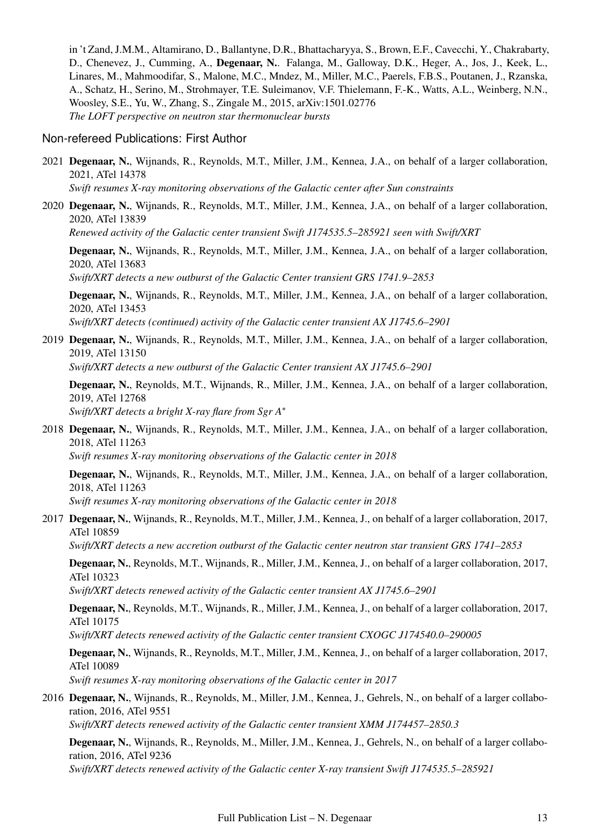in 't Zand, J.M.M., Altamirano, D., Ballantyne, D.R., Bhattacharyya, S., Brown, E.F., Cavecchi, Y., Chakrabarty, D., Chenevez, J., Cumming, A., Degenaar, N.. Falanga, M., Galloway, D.K., Heger, A., Jos, J., Keek, L., Linares, M., Mahmoodifar, S., Malone, M.C., Mndez, M., Miller, M.C., Paerels, F.B.S., Poutanen, J., Rzanska, A., Schatz, H., Serino, M., Strohmayer, T.E. Suleimanov, V.F. Thielemann, F.-K., Watts, A.L., Weinberg, N.N., Woosley, S.E., Yu, W., Zhang, S., Zingale M., 2015, arXiv:1501.02776 *The LOFT perspective on neutron star thermonuclear bursts*

#### Non-refereed Publications: First Author

- 2021 Degenaar, N., Wijnands, R., Reynolds, M.T., Miller, J.M., Kennea, J.A., on behalf of a larger collaboration, 2021, ATel 14378 *Swift resumes X-ray monitoring observations of the Galactic center after Sun constraints*
- 2020 Degenaar, N., Wijnands, R., Reynolds, M.T., Miller, J.M., Kennea, J.A., on behalf of a larger collaboration, 2020, ATel 13839

*Renewed activity of the Galactic center transient Swift J174535.5–285921 seen with Swift/XRT*

Degenaar, N., Wijnands, R., Reynolds, M.T., Miller, J.M., Kennea, J.A., on behalf of a larger collaboration, 2020, ATel 13683

*Swift/XRT detects a new outburst of the Galactic Center transient GRS 1741.9–2853*

Degenaar, N., Wijnands, R., Reynolds, M.T., Miller, J.M., Kennea, J.A., on behalf of a larger collaboration, 2020, ATel 13453

*Swift/XRT detects (continued) activity of the Galactic center transient AX J1745.6–2901*

2019 Degenaar, N., Wijnands, R., Reynolds, M.T., Miller, J.M., Kennea, J.A., on behalf of a larger collaboration, 2019, ATel 13150

*Swift/XRT detects a new outburst of the Galactic Center transient AX J1745.6–2901*

Degenaar, N., Reynolds, M.T., Wijnands, R., Miller, J.M., Kennea, J.A., on behalf of a larger collaboration, 2019, ATel 12768 *Swift/XRT detects a bright X-ray flare from Sgr A*<sup>∗</sup>

2018 Degenaar, N., Wijnands, R., Reynolds, M.T., Miller, J.M., Kennea, J.A., on behalf of a larger collaboration, 2018, ATel 11263 *Swift resumes X-ray monitoring observations of the Galactic center in 2018*

Degenaar, N., Wijnands, R., Reynolds, M.T., Miller, J.M., Kennea, J.A., on behalf of a larger collaboration, 2018, ATel 11263

*Swift resumes X-ray monitoring observations of the Galactic center in 2018*

2017 Degenaar, N., Wijnands, R., Reynolds, M.T., Miller, J.M., Kennea, J., on behalf of a larger collaboration, 2017, ATel 10859

*Swift/XRT detects a new accretion outburst of the Galactic center neutron star transient GRS 1741–2853*

Degenaar, N., Reynolds, M.T., Wijnands, R., Miller, J.M., Kennea, J., on behalf of a larger collaboration, 2017, ATel 10323

*Swift/XRT detects renewed activity of the Galactic center transient AX J1745.6–2901*

Degenaar, N., Reynolds, M.T., Wijnands, R., Miller, J.M., Kennea, J., on behalf of a larger collaboration, 2017, ATel 10175

*Swift/XRT detects renewed activity of the Galactic center transient CXOGC J174540.0–290005*

Degenaar, N., Wijnands, R., Reynolds, M.T., Miller, J.M., Kennea, J., on behalf of a larger collaboration, 2017, ATel 10089

*Swift resumes X-ray monitoring observations of the Galactic center in 2017*

2016 Degenaar, N., Wijnands, R., Reynolds, M., Miller, J.M., Kennea, J., Gehrels, N., on behalf of a larger collaboration, 2016, ATel 9551

*Swift/XRT detects renewed activity of the Galactic center transient XMM J174457–2850.3*

Degenaar, N., Wijnands, R., Reynolds, M., Miller, J.M., Kennea, J., Gehrels, N., on behalf of a larger collaboration, 2016, ATel 9236

*Swift/XRT detects renewed activity of the Galactic center X-ray transient Swift J174535.5–285921*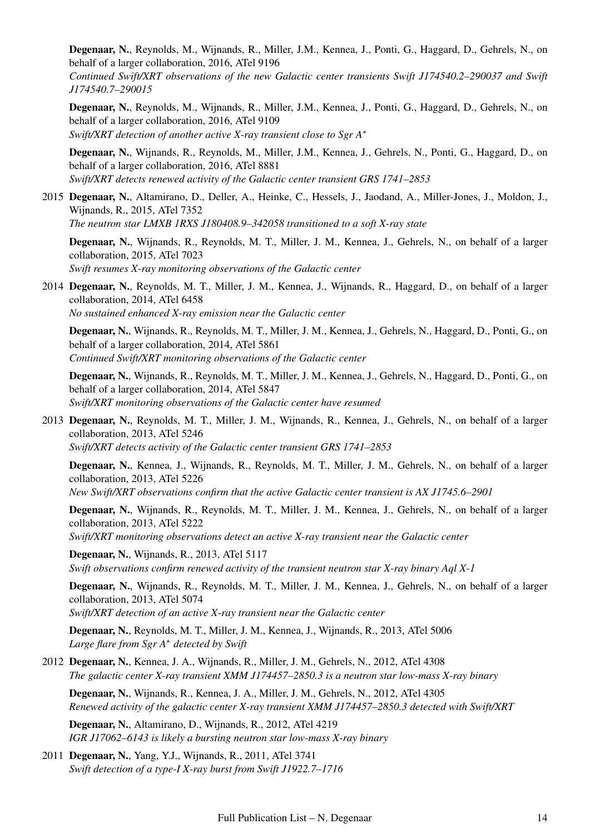Degenaar, N., Reynolds, M., Wijnands, R., Miller, J.M., Kennea, J., Ponti, G., Haggard, D., Gehrels, N., on behalf of a larger collaboration, 2016, ATel 9196

*Continued Swift/XRT observations of the new Galactic center transients Swift J174540.2–290037 and Swift J174540.7–290015*

Degenaar, N., Reynolds, M., Wijnands, R., Miller, J.M., Kennea, J., Ponti, G., Haggard, D., Gehrels, N., on behalf of a larger collaboration, 2016, ATel 9109 *Swift/XRT detection of another active X-ray transient close to Sgr A*<sup>∗</sup>

Degenaar, N., Wijnands, R., Reynolds, M., Miller, J.M., Kennea, J., Gehrels, N., Ponti, G., Haggard, D., on behalf of a larger collaboration, 2016, ATel 8881 *Swift/XRT detects renewed activity of the Galactic center transient GRS 1741–2853*

2015 Degenaar, N., Altamirano, D., Deller, A., Heinke, C., Hessels, J., Jaodand, A., Miller-Jones, J., Moldon, J., Wijnands, R., 2015, ATel 7352 *The neutron star LMXB 1RXS J180408.9–342058 transitioned to a soft X-ray state*

Degenaar, N., Wijnands, R., Reynolds, M. T., Miller, J. M., Kennea, J., Gehrels, N., on behalf of a larger collaboration, 2015, ATel 7023 *Swift resumes X-ray monitoring observations of the Galactic center*

2014 Degenaar, N., Reynolds, M. T., Miller, J. M., Kennea, J., Wijnands, R., Haggard, D., on behalf of a larger collaboration, 2014, ATel 6458 *No sustained enhanced X-ray emission near the Galactic center*

Degenaar, N., Wijnands, R., Reynolds, M. T., Miller, J. M., Kennea, J., Gehrels, N., Haggard, D., Ponti, G., on behalf of a larger collaboration, 2014, ATel 5861

*Continued Swift/XRT monitoring observations of the Galactic center*

Degenaar, N., Wijnands, R., Reynolds, M. T., Miller, J. M., Kennea, J., Gehrels, N., Haggard, D., Ponti, G., on behalf of a larger collaboration, 2014, ATel 5847 *Swift/XRT monitoring observations of the Galactic center have resumed*

2013 Degenaar, N., Reynolds, M. T., Miller, J. M., Wijnands, R., Kennea, J., Gehrels, N., on behalf of a larger collaboration, 2013, ATel 5246 *Swift/XRT detects activity of the Galactic center transient GRS 1741–2853*

Degenaar, N., Kennea, J., Wijnands, R., Reynolds, M. T., Miller, J. M., Gehrels, N., on behalf of a larger collaboration, 2013, ATel 5226

*New Swift/XRT observations confirm that the active Galactic center transient is AX J1745.6–2901*

Degenaar, N., Wijnands, R., Reynolds, M. T., Miller, J. M., Kennea, J., Gehrels, N., on behalf of a larger collaboration, 2013, ATel 5222

*Swift/XRT monitoring observations detect an active X-ray transient near the Galactic center*

Degenaar, N., Wijnands, R., 2013, ATel 5117 *Swift observations confirm renewed activity of the transient neutron star X-ray binary Aql X-1*

Degenaar, N., Wijnands, R., Reynolds, M. T., Miller, J. M., Kennea, J., Gehrels, N., on behalf of a larger collaboration, 2013, ATel 5074

*Swift/XRT detection of an active X-ray transient near the Galactic center*

Degenaar, N., Reynolds, M. T., Miller, J. M., Kennea, J., Wijnands, R., 2013, ATel 5006 *Large flare from Sgr A*<sup>∗</sup> *detected by Swift*

2012 Degenaar, N., Kennea, J. A., Wijnands, R., Miller, J. M., Gehrels, N., 2012, ATel 4308 *The galactic center X-ray transient XMM J174457–2850.3 is a neutron star low-mass X-ray binary*

Degenaar, N., Wijnands, R., Kennea, J. A., Miller, J. M., Gehrels, N., 2012, ATel 4305 *Renewed activity of the galactic center X-ray transient XMM J174457–2850.3 detected with Swift/XRT*

Degenaar, N., Altamirano, D., Wijnands, R., 2012, ATel 4219 *IGR J17062–6143 is likely a bursting neutron star low-mass X-ray binary*

2011 Degenaar, N., Yang, Y.J., Wijnands, R., 2011, ATel 3741 *Swift detection of a type-I X-ray burst from Swift J1922.7–1716*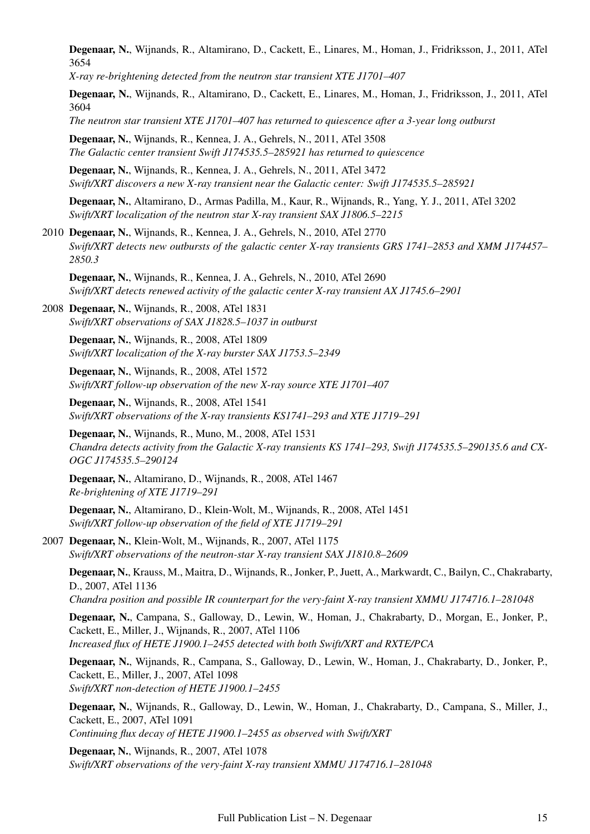Degenaar, N., Wijnands, R., Altamirano, D., Cackett, E., Linares, M., Homan, J., Fridriksson, J., 2011, ATel 3654

*X-ray re-brightening detected from the neutron star transient XTE J1701–407*

Degenaar, N., Wijnands, R., Altamirano, D., Cackett, E., Linares, M., Homan, J., Fridriksson, J., 2011, ATel 3604

*The neutron star transient XTE J1701–407 has returned to quiescence after a 3-year long outburst*

Degenaar, N., Wijnands, R., Kennea, J. A., Gehrels, N., 2011, ATel 3508 *The Galactic center transient Swift J174535.5–285921 has returned to quiescence*

Degenaar, N., Wijnands, R., Kennea, J. A., Gehrels, N., 2011, ATel 3472 *Swift/XRT discovers a new X-ray transient near the Galactic center: Swift J174535.5–285921*

Degenaar, N., Altamirano, D., Armas Padilla, M., Kaur, R., Wijnands, R., Yang, Y. J., 2011, ATel 3202 *Swift/XRT localization of the neutron star X-ray transient SAX J1806.5–2215*

2010 Degenaar, N., Wijnands, R., Kennea, J. A., Gehrels, N., 2010, ATel 2770 *Swift/XRT detects new outbursts of the galactic center X-ray transients GRS 1741–2853 and XMM J174457– 2850.3*

Degenaar, N., Wijnands, R., Kennea, J. A., Gehrels, N., 2010, ATel 2690 *Swift/XRT detects renewed activity of the galactic center X-ray transient AX J1745.6–2901*

2008 Degenaar, N., Wijnands, R., 2008, ATel 1831 *Swift/XRT observations of SAX J1828.5–1037 in outburst*

Degenaar, N., Wijnands, R., 2008, ATel 1809 *Swift/XRT localization of the X-ray burster SAX J1753.5–2349*

Degenaar, N., Wijnands, R., 2008, ATel 1572 *Swift/XRT follow-up observation of the new X-ray source XTE J1701–407*

Degenaar, N., Wijnands, R., 2008, ATel 1541 *Swift/XRT observations of the X-ray transients KS1741–293 and XTE J1719–291*

Degenaar, N., Wijnands, R., Muno, M., 2008, ATel 1531 *Chandra detects activity from the Galactic X-ray transients KS 1741–293, Swift J174535.5–290135.6 and CX-OGC J174535.5–290124*

Degenaar, N., Altamirano, D., Wijnands, R., 2008, ATel 1467 *Re-brightening of XTE J1719–291*

Degenaar, N., Altamirano, D., Klein-Wolt, M., Wijnands, R., 2008, ATel 1451 *Swift/XRT follow-up observation of the field of XTE J1719–291*

2007 Degenaar, N., Klein-Wolt, M., Wijnands, R., 2007, ATel 1175 *Swift/XRT observations of the neutron-star X-ray transient SAX J1810.8–2609*

Degenaar, N., Krauss, M., Maitra, D., Wijnands, R., Jonker, P., Juett, A., Markwardt, C., Bailyn, C., Chakrabarty, D., 2007, ATel 1136 *Chandra position and possible IR counterpart for the very-faint X-ray transient XMMU J174716.1–281048*

Degenaar, N., Campana, S., Galloway, D., Lewin, W., Homan, J., Chakrabarty, D., Morgan, E., Jonker, P.,

Cackett, E., Miller, J., Wijnands, R., 2007, ATel 1106

*Increased flux of HETE J1900.1–2455 detected with both Swift/XRT and RXTE/PCA*

Degenaar, N., Wijnands, R., Campana, S., Galloway, D., Lewin, W., Homan, J., Chakrabarty, D., Jonker, P., Cackett, E., Miller, J., 2007, ATel 1098 *Swift/XRT non-detection of HETE J1900.1–2455*

Degenaar, N., Wijnands, R., Galloway, D., Lewin, W., Homan, J., Chakrabarty, D., Campana, S., Miller, J., Cackett, E., 2007, ATel 1091 *Continuing flux decay of HETE J1900.1–2455 as observed with Swift/XRT*

Degenaar, N., Wijnands, R., 2007, ATel 1078 *Swift/XRT observations of the very-faint X-ray transient XMMU J174716.1–281048*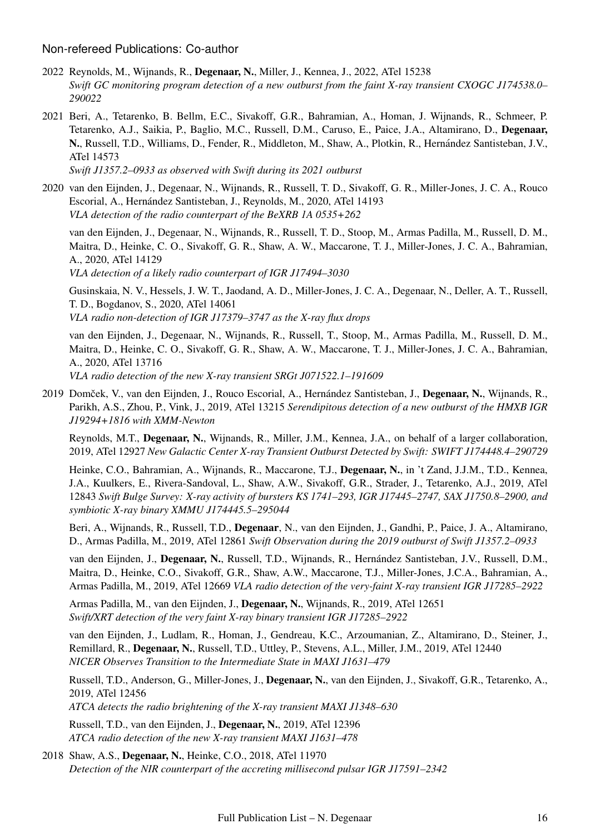#### Non-refereed Publications: Co-author

- 2022 Reynolds, M., Wijnands, R., Degenaar, N., Miller, J., Kennea, J., 2022, ATel 15238 *Swift GC monitoring program detection of a new outburst from the faint X-ray transient CXOGC J174538.0– 290022*
- 2021 Beri, A., Tetarenko, B. Bellm, E.C., Sivakoff, G.R., Bahramian, A., Homan, J. Wijnands, R., Schmeer, P. Tetarenko, A.J., Saikia, P., Baglio, M.C., Russell, D.M., Caruso, E., Paice, J.A., Altamirano, D., Degenaar, N., Russell, T.D., Williams, D., Fender, R., Middleton, M., Shaw, A., Plotkin, R., Hernández Santisteban, J.V., ATel 14573

*Swift J1357.2–0933 as observed with Swift during its 2021 outburst*

2020 van den Eijnden, J., Degenaar, N., Wijnands, R., Russell, T. D., Sivakoff, G. R., Miller-Jones, J. C. A., Rouco Escorial, A., Hernández Santisteban, J., Reynolds, M., 2020, ATel 14193 *VLA detection of the radio counterpart of the BeXRB 1A 0535+262*

van den Eijnden, J., Degenaar, N., Wijnands, R., Russell, T. D., Stoop, M., Armas Padilla, M., Russell, D. M., Maitra, D., Heinke, C. O., Sivakoff, G. R., Shaw, A. W., Maccarone, T. J., Miller-Jones, J. C. A., Bahramian, A., 2020, ATel 14129

*VLA detection of a likely radio counterpart of IGR J17494–3030*

Gusinskaia, N. V., Hessels, J. W. T., Jaodand, A. D., Miller-Jones, J. C. A., Degenaar, N., Deller, A. T., Russell, T. D., Bogdanov, S., 2020, ATel 14061 *VLA radio non-detection of IGR J17379–3747 as the X-ray flux drops*

van den Eijnden, J., Degenaar, N., Wijnands, R., Russell, T., Stoop, M., Armas Padilla, M., Russell, D. M., Maitra, D., Heinke, C. O., Sivakoff, G. R., Shaw, A. W., Maccarone, T. J., Miller-Jones, J. C. A., Bahramian, A., 2020, ATel 13716

*VLA radio detection of the new X-ray transient SRGt J071522.1–191609*

2019 Domček, V., van den Eijnden, J., Rouco Escorial, A., Hernández Santisteban, J., Degenaar, N., Wijnands, R., Parikh, A.S., Zhou, P., Vink, J., 2019, ATel 13215 *Serendipitous detection of a new outburst of the HMXB IGR J19294+1816 with XMM-Newton*

Reynolds, M.T., Degenaar, N., Wijnands, R., Miller, J.M., Kennea, J.A., on behalf of a larger collaboration, 2019, ATel 12927 *New Galactic Center X-ray Transient Outburst Detected by Swift: SWIFT J174448.4–290729*

Heinke, C.O., Bahramian, A., Wijnands, R., Maccarone, T.J., Degenaar, N., in 't Zand, J.J.M., T.D., Kennea, J.A., Kuulkers, E., Rivera-Sandoval, L., Shaw, A.W., Sivakoff, G.R., Strader, J., Tetarenko, A.J., 2019, ATel 12843 *Swift Bulge Survey: X-ray activity of bursters KS 1741–293, IGR J17445–2747, SAX J1750.8–2900, and symbiotic X-ray binary XMMU J174445.5–295044*

Beri, A., Wijnands, R., Russell, T.D., Degenaar, N., van den Eijnden, J., Gandhi, P., Paice, J. A., Altamirano, D., Armas Padilla, M., 2019, ATel 12861 *Swift Observation during the 2019 outburst of Swift J1357.2–0933*

van den Eijnden, J., Degenaar, N., Russell, T.D., Wijnands, R., Hernández Santisteban, J.V., Russell, D.M., Maitra, D., Heinke, C.O., Sivakoff, G.R., Shaw, A.W., Maccarone, T.J., Miller-Jones, J.C.A., Bahramian, A., Armas Padilla, M., 2019, ATel 12669 *VLA radio detection of the very-faint X-ray transient IGR J17285–2922*

Armas Padilla, M., van den Eijnden, J., Degenaar, N., Wijnands, R., 2019, ATel 12651 *Swift/XRT detection of the very faint X-ray binary transient IGR J17285–2922*

van den Eijnden, J., Ludlam, R., Homan, J., Gendreau, K.C., Arzoumanian, Z., Altamirano, D., Steiner, J., Remillard, R., Degenaar, N., Russell, T.D., Uttley, P., Stevens, A.L., Miller, J.M., 2019, ATel 12440 *NICER Observes Transition to the Intermediate State in MAXI J1631–479*

Russell, T.D., Anderson, G., Miller-Jones, J., Degenaar, N., van den Eijnden, J., Sivakoff, G.R., Tetarenko, A., 2019, ATel 12456

*ATCA detects the radio brightening of the X-ray transient MAXI J1348–630*

Russell, T.D., van den Eijnden, J., Degenaar, N., 2019, ATel 12396 *ATCA radio detection of the new X-ray transient MAXI J1631–478*

2018 Shaw, A.S., Degenaar, N., Heinke, C.O., 2018, ATel 11970 *Detection of the NIR counterpart of the accreting millisecond pulsar IGR J17591–2342*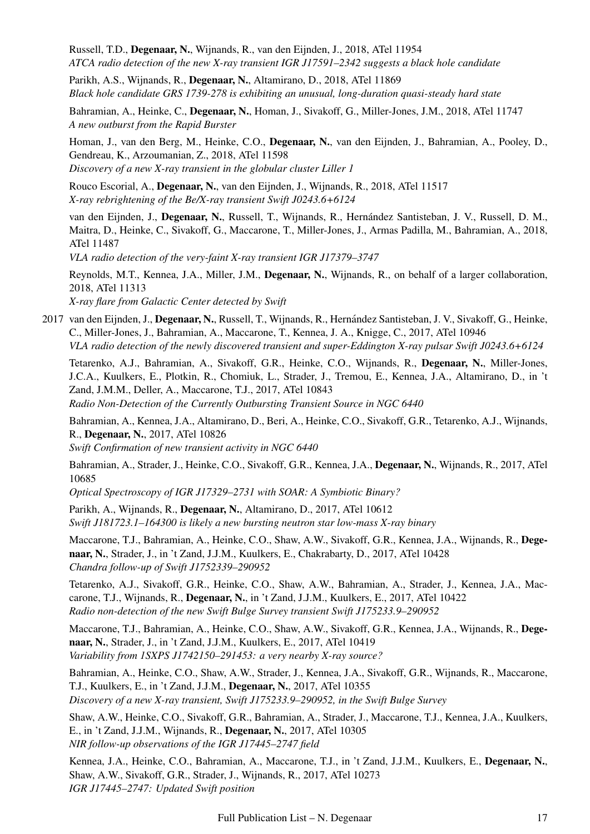Russell, T.D., Degenaar, N., Wijnands, R., van den Eijnden, J., 2018, ATel 11954 *ATCA radio detection of the new X-ray transient IGR J17591–2342 suggests a black hole candidate* Parikh, A.S., Wijnands, R., Degenaar, N., Altamirano, D., 2018, ATel 11869 *Black hole candidate GRS 1739-278 is exhibiting an unusual, long-duration quasi-steady hard state* Bahramian, A., Heinke, C., Degenaar, N., Homan, J., Sivakoff, G., Miller-Jones, J.M., 2018, ATel 11747 *A new outburst from the Rapid Burster* Homan, J., van den Berg, M., Heinke, C.O., Degenaar, N., van den Eijnden, J., Bahramian, A., Pooley, D., Gendreau, K., Arzoumanian, Z., 2018, ATel 11598 *Discovery of a new X-ray transient in the globular cluster Liller 1* Rouco Escorial, A., Degenaar, N., van den Eijnden, J., Wijnands, R., 2018, ATel 11517 *X-ray rebrightening of the Be/X-ray transient Swift J0243.6+6124* van den Eijnden, J., Degenaar, N., Russell, T., Wijnands, R., Hernandez Santisteban, J. V., Russell, D. M., ´ Maitra, D., Heinke, C., Sivakoff, G., Maccarone, T., Miller-Jones, J., Armas Padilla, M., Bahramian, A., 2018, ATel 11487 *VLA radio detection of the very-faint X-ray transient IGR J17379–3747* Reynolds, M.T., Kennea, J.A., Miller, J.M., Degenaar, N., Wijnands, R., on behalf of a larger collaboration, 2018, ATel 11313 *X-ray flare from Galactic Center detected by Swift* 2017 van den Eijnden, J., Degenaar, N., Russell, T., Wijnands, R., Hernández Santisteban, J. V., Sivakoff, G., Heinke, C., Miller-Jones, J., Bahramian, A., Maccarone, T., Kennea, J. A., Knigge, C., 2017, ATel 10946 *VLA radio detection of the newly discovered transient and super-Eddington X-ray pulsar Swift J0243.6+6124* Tetarenko, A.J., Bahramian, A., Sivakoff, G.R., Heinke, C.O., Wijnands, R., Degenaar, N., Miller-Jones, J.C.A., Kuulkers, E., Plotkin, R., Chomiuk, L., Strader, J., Tremou, E., Kennea, J.A., Altamirano, D., in 't Zand, J.M.M., Deller, A., Maccarone, T.J., 2017, ATel 10843 *Radio Non-Detection of the Currently Outbursting Transient Source in NGC 6440* Bahramian, A., Kennea, J.A., Altamirano, D., Beri, A., Heinke, C.O., Sivakoff, G.R., Tetarenko, A.J., Wijnands, R., Degenaar, N., 2017, ATel 10826 *Swift Confirmation of new transient activity in NGC 6440* Bahramian, A., Strader, J., Heinke, C.O., Sivakoff, G.R., Kennea, J.A., Degenaar, N., Wijnands, R., 2017, ATel 10685 *Optical Spectroscopy of IGR J17329–2731 with SOAR: A Symbiotic Binary?* Parikh, A., Wijnands, R., Degenaar, N., Altamirano, D., 2017, ATel 10612 *Swift J181723.1–164300 is likely a new bursting neutron star low-mass X-ray binary* Maccarone, T.J., Bahramian, A., Heinke, C.O., Shaw, A.W., Sivakoff, G.R., Kennea, J.A., Wijnands, R., Degenaar, N., Strader, J., in 't Zand, J.J.M., Kuulkers, E., Chakrabarty, D., 2017, ATel 10428 *Chandra follow-up of Swift J1752339–290952* Tetarenko, A.J., Sivakoff, G.R., Heinke, C.O., Shaw, A.W., Bahramian, A., Strader, J., Kennea, J.A., Maccarone, T.J., Wijnands, R., Degenaar, N., in 't Zand, J.J.M., Kuulkers, E., 2017, ATel 10422 *Radio non-detection of the new Swift Bulge Survey transient Swift J175233.9–290952*

Maccarone, T.J., Bahramian, A., Heinke, C.O., Shaw, A.W., Sivakoff, G.R., Kennea, J.A., Wijnands, R., Degenaar, N., Strader, J., in 't Zand, J.J.M., Kuulkers, E., 2017, ATel 10419 *Variability from 1SXPS J1742150–291453: a very nearby X-ray source?*

Bahramian, A., Heinke, C.O., Shaw, A.W., Strader, J., Kennea, J.A., Sivakoff, G.R., Wijnands, R., Maccarone, T.J., Kuulkers, E., in 't Zand, J.J.M., Degenaar, N., 2017, ATel 10355 *Discovery of a new X-ray transient, Swift J175233.9–290952, in the Swift Bulge Survey*

Shaw, A.W., Heinke, C.O., Sivakoff, G.R., Bahramian, A., Strader, J., Maccarone, T.J., Kennea, J.A., Kuulkers, E., in 't Zand, J.J.M., Wijnands, R., Degenaar, N., 2017, ATel 10305 *NIR follow-up observations of the IGR J17445–2747 field*

Kennea, J.A., Heinke, C.O., Bahramian, A., Maccarone, T.J., in 't Zand, J.J.M., Kuulkers, E., Degenaar, N., Shaw, A.W., Sivakoff, G.R., Strader, J., Wijnands, R., 2017, ATel 10273 *IGR J17445–2747: Updated Swift position*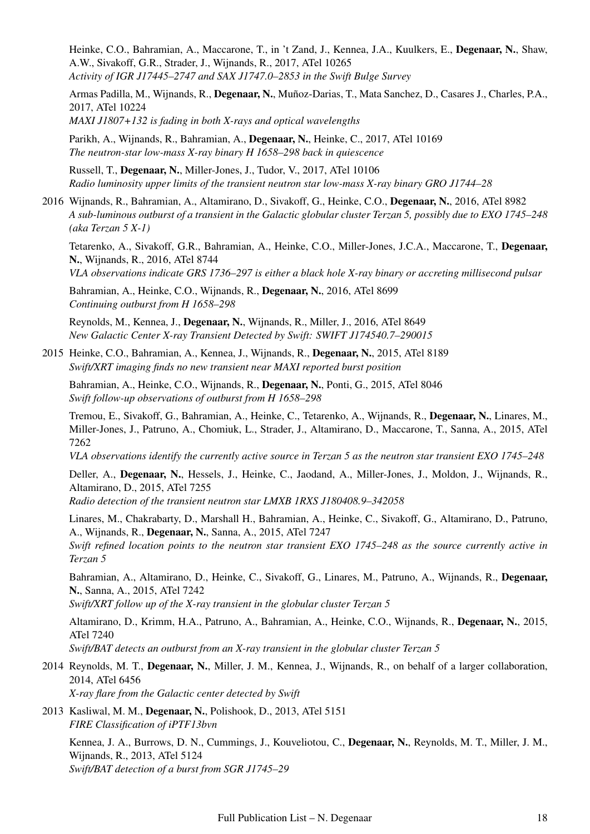Heinke, C.O., Bahramian, A., Maccarone, T., in 't Zand, J., Kennea, J.A., Kuulkers, E., Degenaar, N., Shaw, A.W., Sivakoff, G.R., Strader, J., Wijnands, R., 2017, ATel 10265 *Activity of IGR J17445–2747 and SAX J1747.0–2853 in the Swift Bulge Survey*

Armas Padilla, M., Wijnands, R., Degenaar, N., Muñoz-Darias, T., Mata Sanchez, D., Casares J., Charles, P.A., 2017, ATel 10224 *MAXI J1807+132 is fading in both X-rays and optical wavelengths*

Parikh, A., Wijnands, R., Bahramian, A., Degenaar, N., Heinke, C., 2017, ATel 10169 *The neutron-star low-mass X-ray binary H 1658–298 back in quiescence*

Russell, T., Degenaar, N., Miller-Jones, J., Tudor, V., 2017, ATel 10106 *Radio luminosity upper limits of the transient neutron star low-mass X-ray binary GRO J1744–28*

2016 Wijnands, R., Bahramian, A., Altamirano, D., Sivakoff, G., Heinke, C.O., Degenaar, N., 2016, ATel 8982 *A sub-luminous outburst of a transient in the Galactic globular cluster Terzan 5, possibly due to EXO 1745–248 (aka Terzan 5 X-1)*

Tetarenko, A., Sivakoff, G.R., Bahramian, A., Heinke, C.O., Miller-Jones, J.C.A., Maccarone, T., Degenaar, N., Wijnands, R., 2016, ATel 8744

*VLA observations indicate GRS 1736–297 is either a black hole X-ray binary or accreting millisecond pulsar*

Bahramian, A., Heinke, C.O., Wijnands, R., Degenaar, N., 2016, ATel 8699 *Continuing outburst from H 1658–298*

Reynolds, M., Kennea, J., Degenaar, N., Wijnands, R., Miller, J., 2016, ATel 8649 *New Galactic Center X-ray Transient Detected by Swift: SWIFT J174540.7–290015*

2015 Heinke, C.O., Bahramian, A., Kennea, J., Wijnands, R., Degenaar, N., 2015, ATel 8189 *Swift/XRT imaging finds no new transient near MAXI reported burst position*

Bahramian, A., Heinke, C.O., Wijnands, R., Degenaar, N., Ponti, G., 2015, ATel 8046 *Swift follow-up observations of outburst from H 1658–298*

Tremou, E., Sivakoff, G., Bahramian, A., Heinke, C., Tetarenko, A., Wijnands, R., Degenaar, N., Linares, M., Miller-Jones, J., Patruno, A., Chomiuk, L., Strader, J., Altamirano, D., Maccarone, T., Sanna, A., 2015, ATel 7262

*VLA observations identify the currently active source in Terzan 5 as the neutron star transient EXO 1745–248*

Deller, A., Degenaar, N., Hessels, J., Heinke, C., Jaodand, A., Miller-Jones, J., Moldon, J., Wijnands, R., Altamirano, D., 2015, ATel 7255

*Radio detection of the transient neutron star LMXB 1RXS J180408.9–342058*

Linares, M., Chakrabarty, D., Marshall H., Bahramian, A., Heinke, C., Sivakoff, G., Altamirano, D., Patruno, A., Wijnands, R., Degenaar, N., Sanna, A., 2015, ATel 7247

*Swift refined location points to the neutron star transient EXO 1745–248 as the source currently active in Terzan 5*

Bahramian, A., Altamirano, D., Heinke, C., Sivakoff, G., Linares, M., Patruno, A., Wijnands, R., Degenaar, N., Sanna, A., 2015, ATel 7242

*Swift/XRT follow up of the X-ray transient in the globular cluster Terzan 5*

Altamirano, D., Krimm, H.A., Patruno, A., Bahramian, A., Heinke, C.O., Wijnands, R., Degenaar, N., 2015, ATel 7240

*Swift/BAT detects an outburst from an X-ray transient in the globular cluster Terzan 5*

- 2014 Reynolds, M. T., Degenaar, N., Miller, J. M., Kennea, J., Wijnands, R., on behalf of a larger collaboration, 2014, ATel 6456 *X-ray flare from the Galactic center detected by Swift*
- 2013 Kasliwal, M. M., Degenaar, N., Polishook, D., 2013, ATel 5151 *FIRE Classification of iPTF13bvn*

Kennea, J. A., Burrows, D. N., Cummings, J., Kouveliotou, C., Degenaar, N., Reynolds, M. T., Miller, J. M., Wijnands, R., 2013, ATel 5124 *Swift/BAT detection of a burst from SGR J1745–29*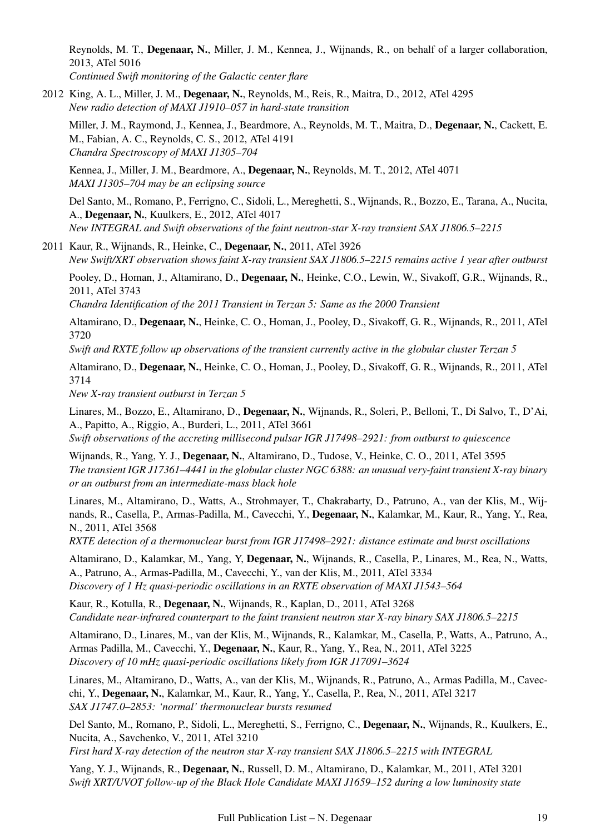Reynolds, M. T., Degenaar, N., Miller, J. M., Kennea, J., Wijnands, R., on behalf of a larger collaboration, 2013, ATel 5016

*Continued Swift monitoring of the Galactic center flare*

2012 King, A. L., Miller, J. M., Degenaar, N., Reynolds, M., Reis, R., Maitra, D., 2012, ATel 4295 *New radio detection of MAXI J1910–057 in hard-state transition*

Miller, J. M., Raymond, J., Kennea, J., Beardmore, A., Reynolds, M. T., Maitra, D., Degenaar, N., Cackett, E. M., Fabian, A. C., Reynolds, C. S., 2012, ATel 4191 *Chandra Spectroscopy of MAXI J1305–704*

Kennea, J., Miller, J. M., Beardmore, A., Degenaar, N., Reynolds, M. T., 2012, ATel 4071 *MAXI J1305–704 may be an eclipsing source*

Del Santo, M., Romano, P., Ferrigno, C., Sidoli, L., Mereghetti, S., Wijnands, R., Bozzo, E., Tarana, A., Nucita, A., Degenaar, N., Kuulkers, E., 2012, ATel 4017 *New INTEGRAL and Swift observations of the faint neutron-star X-ray transient SAX J1806.5–2215*

2011 Kaur, R., Wijnands, R., Heinke, C., Degenaar, N., 2011, ATel 3926 *New Swift/XRT observation shows faint X-ray transient SAX J1806.5–2215 remains active 1 year after outburst*

Pooley, D., Homan, J., Altamirano, D., Degenaar, N., Heinke, C.O., Lewin, W., Sivakoff, G.R., Wijnands, R., 2011, ATel 3743

*Chandra Identification of the 2011 Transient in Terzan 5: Same as the 2000 Transient*

Altamirano, D., Degenaar, N., Heinke, C. O., Homan, J., Pooley, D., Sivakoff, G. R., Wijnands, R., 2011, ATel 3720

*Swift and RXTE follow up observations of the transient currently active in the globular cluster Terzan 5*

Altamirano, D., Degenaar, N., Heinke, C. O., Homan, J., Pooley, D., Sivakoff, G. R., Wijnands, R., 2011, ATel 3714

*New X-ray transient outburst in Terzan 5*

Linares, M., Bozzo, E., Altamirano, D., Degenaar, N., Wijnands, R., Soleri, P., Belloni, T., Di Salvo, T., D'Ai, A., Papitto, A., Riggio, A., Burderi, L., 2011, ATel 3661 *Swift observations of the accreting millisecond pulsar IGR J17498–2921: from outburst to quiescence*

Wijnands, R., Yang, Y. J., Degenaar, N., Altamirano, D., Tudose, V., Heinke, C. O., 2011, ATel 3595 *The transient IGR J17361–4441 in the globular cluster NGC 6388: an unusual very-faint transient X-ray binary or an outburst from an intermediate-mass black hole*

Linares, M., Altamirano, D., Watts, A., Strohmayer, T., Chakrabarty, D., Patruno, A., van der Klis, M., Wijnands, R., Casella, P., Armas-Padilla, M., Cavecchi, Y., Degenaar, N., Kalamkar, M., Kaur, R., Yang, Y., Rea, N., 2011, ATel 3568

*RXTE detection of a thermonuclear burst from IGR J17498–2921: distance estimate and burst oscillations*

Altamirano, D., Kalamkar, M., Yang, Y, Degenaar, N., Wijnands, R., Casella, P., Linares, M., Rea, N., Watts, A., Patruno, A., Armas-Padilla, M., Cavecchi, Y., van der Klis, M., 2011, ATel 3334 *Discovery of 1 Hz quasi-periodic oscillations in an RXTE observation of MAXI J1543–564*

Kaur, R., Kotulla, R., Degenaar, N., Wijnands, R., Kaplan, D., 2011, ATel 3268 *Candidate near-infrared counterpart to the faint transient neutron star X-ray binary SAX J1806.5–2215*

Altamirano, D., Linares, M., van der Klis, M., Wijnands, R., Kalamkar, M., Casella, P., Watts, A., Patruno, A., Armas Padilla, M., Cavecchi, Y., Degenaar, N., Kaur, R., Yang, Y., Rea, N., 2011, ATel 3225 *Discovery of 10 mHz quasi-periodic oscillations likely from IGR J17091–3624*

Linares, M., Altamirano, D., Watts, A., van der Klis, M., Wijnands, R., Patruno, A., Armas Padilla, M., Cavecchi, Y., Degenaar, N., Kalamkar, M., Kaur, R., Yang, Y., Casella, P., Rea, N., 2011, ATel 3217 *SAX J1747.0–2853: 'normal' thermonuclear bursts resumed*

Del Santo, M., Romano, P., Sidoli, L., Mereghetti, S., Ferrigno, C., Degenaar, N., Wijnands, R., Kuulkers, E., Nucita, A., Savchenko, V., 2011, ATel 3210 *First hard X-ray detection of the neutron star X-ray transient SAX J1806.5–2215 with INTEGRAL*

Yang, Y. J., Wijnands, R., Degenaar, N., Russell, D. M., Altamirano, D., Kalamkar, M., 2011, ATel 3201 *Swift XRT/UVOT follow-up of the Black Hole Candidate MAXI J1659–152 during a low luminosity state*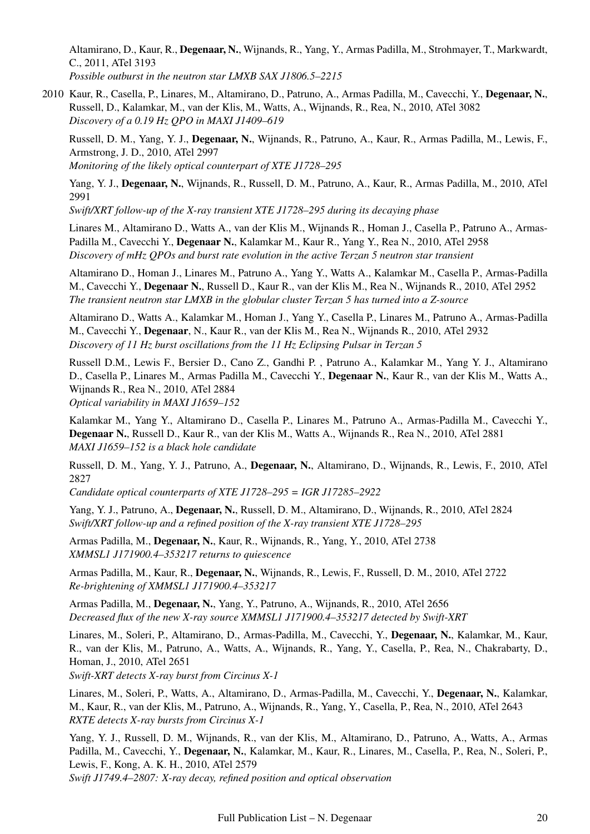Altamirano, D., Kaur, R., Degenaar, N., Wijnands, R., Yang, Y., Armas Padilla, M., Strohmayer, T., Markwardt, C., 2011, ATel 3193

*Possible outburst in the neutron star LMXB SAX J1806.5–2215*

2010 Kaur, R., Casella, P., Linares, M., Altamirano, D., Patruno, A., Armas Padilla, M., Cavecchi, Y., Degenaar, N., Russell, D., Kalamkar, M., van der Klis, M., Watts, A., Wijnands, R., Rea, N., 2010, ATel 3082 *Discovery of a 0.19 Hz QPO in MAXI J1409–619*

Russell, D. M., Yang, Y. J., Degenaar, N., Wijnands, R., Patruno, A., Kaur, R., Armas Padilla, M., Lewis, F., Armstrong, J. D., 2010, ATel 2997

*Monitoring of the likely optical counterpart of XTE J1728–295*

Yang, Y. J., Degenaar, N., Wijnands, R., Russell, D. M., Patruno, A., Kaur, R., Armas Padilla, M., 2010, ATel 2991

*Swift/XRT follow-up of the X-ray transient XTE J1728–295 during its decaying phase*

Linares M., Altamirano D., Watts A., van der Klis M., Wijnands R., Homan J., Casella P., Patruno A., Armas-Padilla M., Cavecchi Y., Degenaar N., Kalamkar M., Kaur R., Yang Y., Rea N., 2010, ATel 2958 *Discovery of mHz QPOs and burst rate evolution in the active Terzan 5 neutron star transient*

Altamirano D., Homan J., Linares M., Patruno A., Yang Y., Watts A., Kalamkar M., Casella P., Armas-Padilla M., Cavecchi Y., Degenaar N., Russell D., Kaur R., van der Klis M., Rea N., Wijnands R., 2010, ATel 2952 *The transient neutron star LMXB in the globular cluster Terzan 5 has turned into a Z-source*

Altamirano D., Watts A., Kalamkar M., Homan J., Yang Y., Casella P., Linares M., Patruno A., Armas-Padilla M., Cavecchi Y., Degenaar, N., Kaur R., van der Klis M., Rea N., Wijnands R., 2010, ATel 2932 *Discovery of 11 Hz burst oscillations from the 11 Hz Eclipsing Pulsar in Terzan 5*

Russell D.M., Lewis F., Bersier D., Cano Z., Gandhi P. , Patruno A., Kalamkar M., Yang Y. J., Altamirano D., Casella P., Linares M., Armas Padilla M., Cavecchi Y., Degenaar N., Kaur R., van der Klis M., Watts A., Wijnands R., Rea N., 2010, ATel 2884

*Optical variability in MAXI J1659–152*

Kalamkar M., Yang Y., Altamirano D., Casella P., Linares M., Patruno A., Armas-Padilla M., Cavecchi Y., Degenaar N., Russell D., Kaur R., van der Klis M., Watts A., Wijnands R., Rea N., 2010, ATel 2881 *MAXI J1659–152 is a black hole candidate*

Russell, D. M., Yang, Y. J., Patruno, A., Degenaar, N., Altamirano, D., Wijnands, R., Lewis, F., 2010, ATel 2827

*Candidate optical counterparts of XTE J1728–295 = IGR J17285–2922*

Yang, Y. J., Patruno, A., Degenaar, N., Russell, D. M., Altamirano, D., Wijnands, R., 2010, ATel 2824 *Swift/XRT follow-up and a refined position of the X-ray transient XTE J1728–295*

Armas Padilla, M., Degenaar, N., Kaur, R., Wijnands, R., Yang, Y., 2010, ATel 2738 *XMMSL1 J171900.4–353217 returns to quiescence*

Armas Padilla, M., Kaur, R., Degenaar, N., Wijnands, R., Lewis, F., Russell, D. M., 2010, ATel 2722 *Re-brightening of XMMSL1 J171900.4–353217*

Armas Padilla, M., Degenaar, N., Yang, Y., Patruno, A., Wijnands, R., 2010, ATel 2656 *Decreased flux of the new X-ray source XMMSL1 J171900.4–353217 detected by Swift-XRT*

Linares, M., Soleri, P., Altamirano, D., Armas-Padilla, M., Cavecchi, Y., Degenaar, N., Kalamkar, M., Kaur, R., van der Klis, M., Patruno, A., Watts, A., Wijnands, R., Yang, Y., Casella, P., Rea, N., Chakrabarty, D., Homan, J., 2010, ATel 2651

*Swift-XRT detects X-ray burst from Circinus X-1*

Linares, M., Soleri, P., Watts, A., Altamirano, D., Armas-Padilla, M., Cavecchi, Y., Degenaar, N., Kalamkar, M., Kaur, R., van der Klis, M., Patruno, A., Wijnands, R., Yang, Y., Casella, P., Rea, N., 2010, ATel 2643 *RXTE detects X-ray bursts from Circinus X-1*

Yang, Y. J., Russell, D. M., Wijnands, R., van der Klis, M., Altamirano, D., Patruno, A., Watts, A., Armas Padilla, M., Cavecchi, Y., Degenaar, N., Kalamkar, M., Kaur, R., Linares, M., Casella, P., Rea, N., Soleri, P., Lewis, F., Kong, A. K. H., 2010, ATel 2579 *Swift J1749.4–2807: X-ray decay, refined position and optical observation*